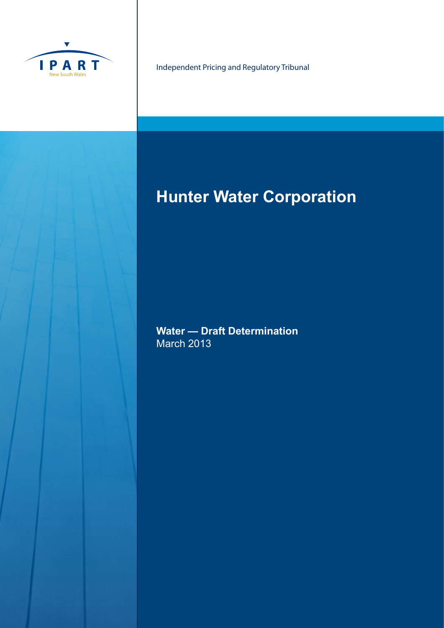

Independent Pricing and Regulatory Tribunal

# **Hunter Water Corporation**

**Water — Draft Determination** March 2013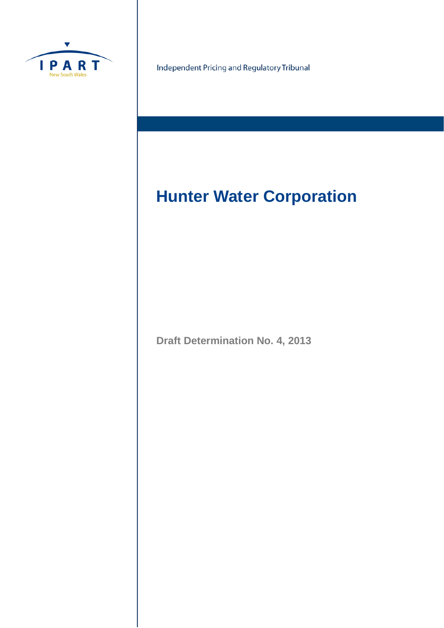

Independent Pricing and Regulatory Tribunal

# **Hunter Water Corporation**

**Draft Determination No. 4, 2013**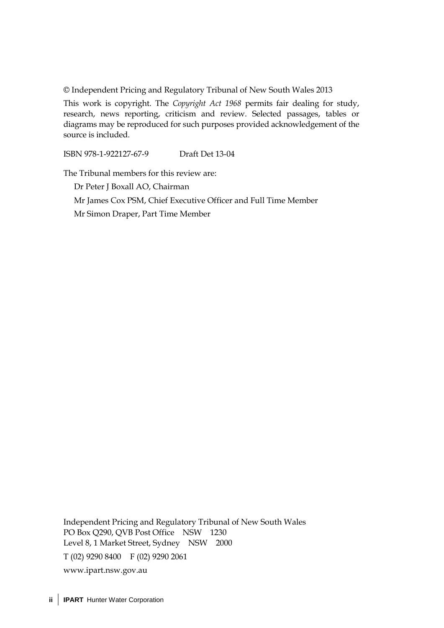© Independent Pricing and Regulatory Tribunal of New South Wales 2013

This work is copyright. The *Copyright Act 1968* permits fair dealing for study, research, news reporting, criticism and review. Selected passages, tables or diagrams may be reproduced for such purposes provided acknowledgement of the source is included.

ISBN 978-1-922127-67-9 Draft Det 13-04

The Tribunal members for this review are:

Dr Peter J Boxall AO, Chairman Mr James Cox PSM, Chief Executive Officer and Full Time Member Mr Simon Draper, Part Time Member

Independent Pricing and Regulatory Tribunal of New South Wales PO Box Q290, QVB Post Office NSW 1230 Level 8, 1 Market Street, Sydney NSW 2000 T (02) 9290 8400 F (02) 9290 2061 [www.ipart.nsw.gov.au](http://www.ipart.nsw.gov.au/)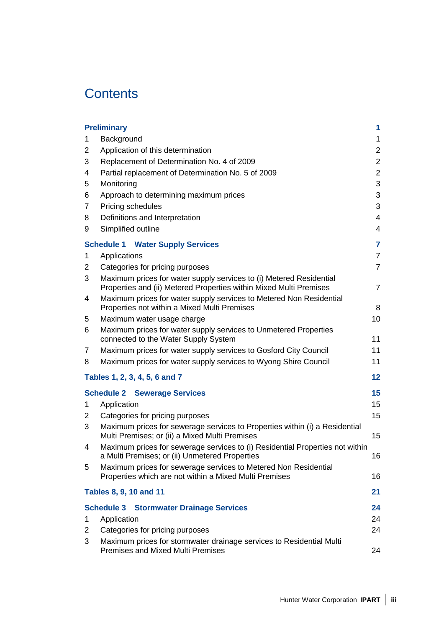## **Contents**

|                | <b>Preliminary</b>                                                                                                                        | 1              |
|----------------|-------------------------------------------------------------------------------------------------------------------------------------------|----------------|
| 1              | Background                                                                                                                                | $\mathbf 1$    |
| 2              | Application of this determination                                                                                                         | $\overline{c}$ |
| 3              | Replacement of Determination No. 4 of 2009                                                                                                | $\overline{2}$ |
| 4              | Partial replacement of Determination No. 5 of 2009                                                                                        | $\overline{c}$ |
| 5              | Monitoring                                                                                                                                | 3              |
| 6              | Approach to determining maximum prices                                                                                                    | 3              |
| $\overline{7}$ | Pricing schedules                                                                                                                         | 3              |
| 8              | Definitions and Interpretation                                                                                                            | 4              |
| 9              | Simplified outline                                                                                                                        | 4              |
|                | <b>Schedule 1 Water Supply Services</b>                                                                                                   | 7              |
| 1              | Applications                                                                                                                              | $\overline{7}$ |
| 2              | Categories for pricing purposes                                                                                                           | $\overline{7}$ |
| 3              | Maximum prices for water supply services to (i) Metered Residential<br>Properties and (ii) Metered Properties within Mixed Multi Premises | $\overline{7}$ |
| 4              | Maximum prices for water supply services to Metered Non Residential<br>Properties not within a Mixed Multi Premises                       | 8              |
| 5              | Maximum water usage charge                                                                                                                | 10             |
| 6              | Maximum prices for water supply services to Unmetered Properties<br>connected to the Water Supply System                                  | 11             |
| 7              | Maximum prices for water supply services to Gosford City Council                                                                          | 11             |
| 8              | Maximum prices for water supply services to Wyong Shire Council                                                                           | 11             |
|                | Tables 1, 2, 3, 4, 5, 6 and 7                                                                                                             | 12             |
|                | <b>Schedule 2 Sewerage Services</b>                                                                                                       | 15             |
| 1              | Application                                                                                                                               | 15             |
| 2              | Categories for pricing purposes                                                                                                           | 15             |
| 3              | Maximum prices for sewerage services to Properties within (i) a Residential<br>Multi Premises; or (ii) a Mixed Multi Premises             | 15             |
| 4              | Maximum prices for sewerage services to (i) Residential Properties not within<br>a Multi Premises; or (ii) Unmetered Properties           | 16             |
| 5              | Maximum prices for sewerage services to Metered Non Residential<br>Properties which are not within a Mixed Multi Premises                 | 16             |
|                | <b>Tables 8, 9, 10 and 11</b>                                                                                                             | 21             |
|                | <b>Schedule 3 Stormwater Drainage Services</b>                                                                                            | 24             |
| 1              | Application                                                                                                                               | 24             |
| 2              | Categories for pricing purposes                                                                                                           | 24             |
| 3              | Maximum prices for stormwater drainage services to Residential Multi<br><b>Premises and Mixed Multi Premises</b>                          | 24             |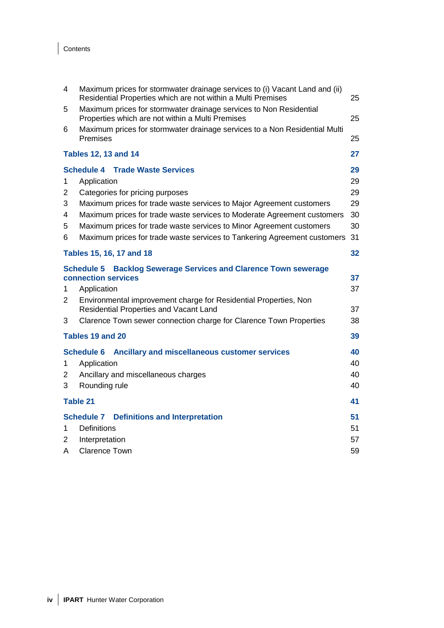## Contents

| 4  | Maximum prices for stormwater drainage services to (i) Vacant Land and (ii)<br>Residential Properties which are not within a Multi Premises<br>25 |    |  |  |  |  |
|----|---------------------------------------------------------------------------------------------------------------------------------------------------|----|--|--|--|--|
| 5  | Maximum prices for stormwater drainage services to Non Residential<br>Properties which are not within a Multi Premises                            | 25 |  |  |  |  |
| 6  | Maximum prices for stormwater drainage services to a Non Residential Multi<br>Premises                                                            | 25 |  |  |  |  |
|    | <b>Tables 12, 13 and 14</b>                                                                                                                       | 27 |  |  |  |  |
|    | <b>Schedule 4 Trade Waste Services</b>                                                                                                            | 29 |  |  |  |  |
| 1  | Application                                                                                                                                       | 29 |  |  |  |  |
| 2  | Categories for pricing purposes                                                                                                                   | 29 |  |  |  |  |
| 3  | Maximum prices for trade waste services to Major Agreement customers                                                                              | 29 |  |  |  |  |
| 4  | Maximum prices for trade waste services to Moderate Agreement customers                                                                           | 30 |  |  |  |  |
| 5  | Maximum prices for trade waste services to Minor Agreement customers                                                                              | 30 |  |  |  |  |
| 6  | Maximum prices for trade waste services to Tankering Agreement customers                                                                          | 31 |  |  |  |  |
|    | Tables 15, 16, 17 and 18                                                                                                                          | 32 |  |  |  |  |
|    | <b>Backlog Sewerage Services and Clarence Town sewerage</b><br><b>Schedule 5</b><br>connection services                                           | 37 |  |  |  |  |
| 1  | Application                                                                                                                                       | 37 |  |  |  |  |
| 2  | Environmental improvement charge for Residential Properties, Non                                                                                  |    |  |  |  |  |
|    | Residential Properties and Vacant Land                                                                                                            | 37 |  |  |  |  |
| 3  | Clarence Town sewer connection charge for Clarence Town Properties                                                                                | 38 |  |  |  |  |
|    | Tables 19 and 20                                                                                                                                  | 39 |  |  |  |  |
|    | <b>Schedule 6</b><br>Ancillary and miscellaneous customer services                                                                                | 40 |  |  |  |  |
| 1  | Application                                                                                                                                       | 40 |  |  |  |  |
| 2  | Ancillary and miscellaneous charges                                                                                                               | 40 |  |  |  |  |
| 3  | Rounding rule                                                                                                                                     | 40 |  |  |  |  |
|    | <b>Table 21</b>                                                                                                                                   | 41 |  |  |  |  |
|    | <b>Schedule 7</b><br><b>Definitions and Interpretation</b>                                                                                        | 51 |  |  |  |  |
| 1. | <b>Definitions</b>                                                                                                                                | 51 |  |  |  |  |
| 2  | Interpretation                                                                                                                                    | 57 |  |  |  |  |
| A  | <b>Clarence Town</b>                                                                                                                              | 59 |  |  |  |  |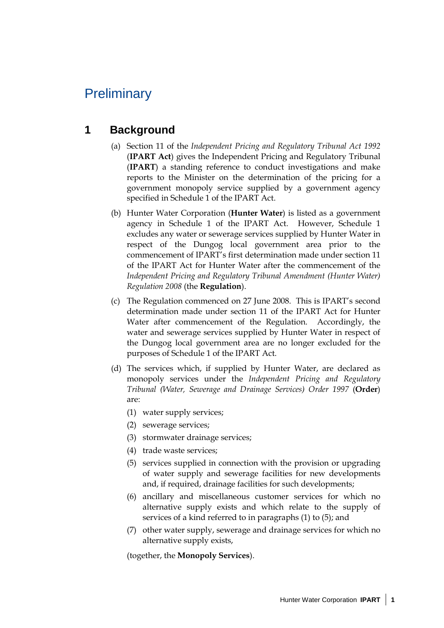## **Preliminary**

## **1 Background**

- (a) Section 11 of the *Independent Pricing and Regulatory Tribunal Act 1992* (**IPART Act**) gives the Independent Pricing and Regulatory Tribunal (**IPART**) a standing reference to conduct investigations and make reports to the Minister on the determination of the pricing for a government monopoly service supplied by a government agency specified in Schedule 1 of the IPART Act.
- (b) Hunter Water Corporation (**Hunter Water**) is listed as a government agency in Schedule 1 of the IPART Act. However, Schedule 1 excludes any water or sewerage services supplied by Hunter Water in respect of the Dungog local government area prior to the commencement of IPART's first determination made under section 11 of the IPART Act for Hunter Water after the commencement of the *Independent Pricing and Regulatory Tribunal Amendment (Hunter Water) Regulation 2008* (the **Regulation**).
- (c) The Regulation commenced on 27 June 2008. This is IPART's second determination made under section 11 of the IPART Act for Hunter Water after commencement of the Regulation. Accordingly, the water and sewerage services supplied by Hunter Water in respect of the Dungog local government area are no longer excluded for the purposes of Schedule 1 of the IPART Act.
- (d) The services which, if supplied by Hunter Water, are declared as monopoly services under the *Independent Pricing and Regulatory Tribunal (Water, Sewerage and Drainage Services) Order 1997* (**Order**) are:
	- (1) water supply services;
	- (2) sewerage services;
	- (3) stormwater drainage services;
	- (4) trade waste services;
	- (5) services supplied in connection with the provision or upgrading of water supply and sewerage facilities for new developments and, if required, drainage facilities for such developments;
	- (6) ancillary and miscellaneous customer services for which no alternative supply exists and which relate to the supply of services of a kind referred to in paragraphs (1) to (5); and
	- (7) other water supply, sewerage and drainage services for which no alternative supply exists,

(together, the **Monopoly Services**).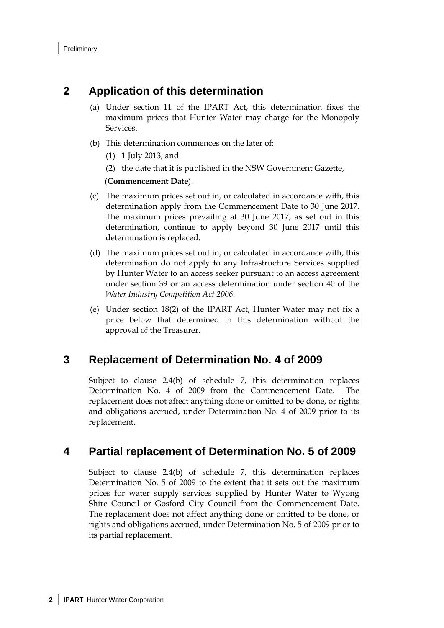## **2 Application of this determination**

- (a) Under section 11 of the IPART Act, this determination fixes the maximum prices that Hunter Water may charge for the Monopoly Services.
- (b) This determination commences on the later of:
	- (1) 1 July 2013; and
	- (2) the date that it is published in the NSW Government Gazette,

#### (**Commencement Date**).

- (c) The maximum prices set out in, or calculated in accordance with, this determination apply from the Commencement Date to 30 June 2017. The maximum prices prevailing at 30 June 2017, as set out in this determination, continue to apply beyond 30 June 2017 until this determination is replaced.
- (d) The maximum prices set out in, or calculated in accordance with, this determination do not apply to any Infrastructure Services supplied by Hunter Water to an access seeker pursuant to an access agreement under section 39 or an access determination under section 40 of the *Water Industry Competition Act 2006*.
- (e) Under section 18(2) of the IPART Act, Hunter Water may not fix a price below that determined in this determination without the approval of the Treasurer.

### **3 Replacement of Determination No. 4 of 2009**

Subject to clause 2.4(b) of schedule 7, this determination replaces Determination No. 4 of 2009 from the Commencement Date. The replacement does not affect anything done or omitted to be done, or rights and obligations accrued, under Determination No. 4 of 2009 prior to its replacement.

## **4 Partial replacement of Determination No. 5 of 2009**

Subject to clause 2.4(b) of schedule 7, this determination replaces Determination No. 5 of 2009 to the extent that it sets out the maximum prices for water supply services supplied by Hunter Water to Wyong Shire Council or Gosford City Council from the Commencement Date. The replacement does not affect anything done or omitted to be done, or rights and obligations accrued, under Determination No. 5 of 2009 prior to its partial replacement.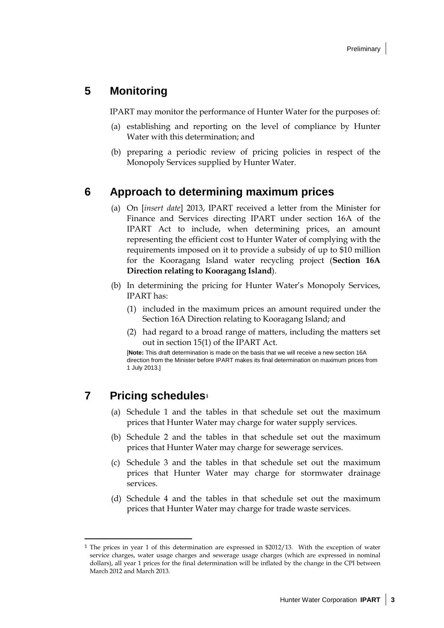## **5 Monitoring**

IPART may monitor the performance of Hunter Water for the purposes of:

- (a) establishing and reporting on the level of compliance by Hunter Water with this determination; and
- (b) preparing a periodic review of pricing policies in respect of the Monopoly Services supplied by Hunter Water.

### **6 Approach to determining maximum prices**

- (a) On [*insert date*] 2013, IPART received a letter from the Minister for Finance and Services directing IPART under section 16A of the IPART Act to include, when determining prices, an amount representing the efficient cost to Hunter Water of complying with the requirements imposed on it to provide a subsidy of up to \$10 million for the Kooragang Island water recycling project (**Section 16A Direction relating to Kooragang Island**).
- (b) In determining the pricing for Hunter Water's Monopoly Services, IPART has:
	- (1) included in the maximum prices an amount required under the Section 16A Direction relating to Kooragang Island; and
	- (2) had regard to a broad range of matters, including the matters set out in section 15(1) of the IPART Act.

[**Note:** This draft determination is made on the basis that we will receive a new section 16A direction from the Minister before IPART makes its final determination on maximum prices from 1 July 2013.]

## **7 Pricing schedules[1](#page-8-0)**

 $\ddot{\phantom{a}}$ 

- (a) Schedule 1 and the tables in that schedule set out the maximum prices that Hunter Water may charge for water supply services.
- (b) Schedule 2 and the tables in that schedule set out the maximum prices that Hunter Water may charge for sewerage services.
- (c) Schedule 3 and the tables in that schedule set out the maximum prices that Hunter Water may charge for stormwater drainage services.
- (d) Schedule 4 and the tables in that schedule set out the maximum prices that Hunter Water may charge for trade waste services.

<span id="page-8-0"></span><sup>1</sup> The prices in year 1 of this determination are expressed in \$2012/13. With the exception of water service charges, water usage charges and sewerage usage charges (which are expressed in nominal dollars), all year 1 prices for the final determination will be inflated by the change in the CPI between March 2012 and March 2013.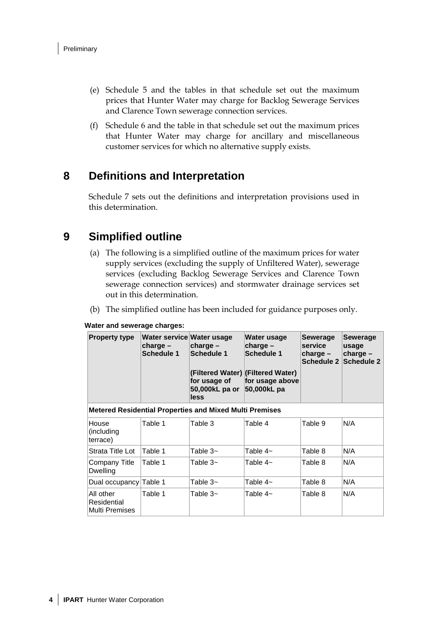- (e) Schedule 5 and the tables in that schedule set out the maximum prices that Hunter Water may charge for Backlog Sewerage Services and Clarence Town sewerage connection services.
- (f) Schedule 6 and the table in that schedule set out the maximum prices that Hunter Water may charge for ancillary and miscellaneous customer services for which no alternative supply exists.

## **8 Definitions and Interpretation**

Schedule 7 sets out the definitions and interpretation provisions used in this determination.

## **9 Simplified outline**

- (a) The following is a simplified outline of the maximum prices for water supply services (excluding the supply of Unfiltered Water), sewerage services (excluding Backlog Sewerage Services and Clarence Town sewerage connection services) and stormwater drainage services set out in this determination.
- (b) The simplified outline has been included for guidance purposes only.

#### **Water and sewerage charges:**

| <b>Property type</b>                       | Water service Water usage<br>charge –<br>Schedule 1            | charge $-$<br><b>Schedule 1</b><br>for usage of<br>50,000kL pa or<br>less | Water usage<br>charge $-$<br><b>Schedule 1</b><br>(Filtered Water) (Filtered Water)<br>for usage above<br>50,000kL pa | <b>Sewerage</b><br>service<br>$charge -$<br><b>Schedule 2</b> | <b>Sewerage</b><br>usage<br>$charge -$<br><b>Schedule 2</b> |  |
|--------------------------------------------|----------------------------------------------------------------|---------------------------------------------------------------------------|-----------------------------------------------------------------------------------------------------------------------|---------------------------------------------------------------|-------------------------------------------------------------|--|
|                                            | <b>Metered Residential Properties and Mixed Multi Premises</b> |                                                                           |                                                                                                                       |                                                               |                                                             |  |
| House<br>(including)<br>terrace)           | Table 1                                                        | Table 3                                                                   | Table 4                                                                                                               | Table 9                                                       | N/A                                                         |  |
| Strata Title Lot                           | Table 1                                                        | Table 3~                                                                  | Table 4~                                                                                                              | Table 8                                                       | N/A                                                         |  |
| Company Title<br>Dwelling                  | Table 1                                                        | Table 3~                                                                  | Table 4~                                                                                                              | Table 8                                                       | N/A                                                         |  |
| Dual occupancy Table 1                     |                                                                | Table 3~                                                                  | Table 4~                                                                                                              | Table 8                                                       | N/A                                                         |  |
| All other<br>Residential<br>Multi Premises | Table 1                                                        | Table $3-$                                                                | Table 4~                                                                                                              | Table 8                                                       | N/A                                                         |  |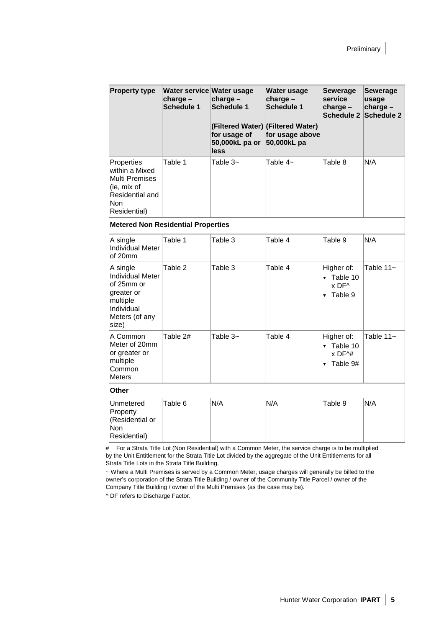| <b>Property type</b>                                                                                                  | Water service Water usage<br>charge -<br><b>Schedule 1</b> | $charge -$<br><b>Schedule 1</b><br>for usage of<br>50,000kL pa or<br>less | Water usage<br>charge -<br><b>Schedule 1</b><br>(Filtered Water) (Filtered Water)<br>for usage above<br>50,000kL pa | <b>Sewerage</b><br>service<br>charge -<br><b>Schedule 2</b>          | <b>Sewerage</b><br>usage<br>charge -<br><b>Schedule 2</b> |
|-----------------------------------------------------------------------------------------------------------------------|------------------------------------------------------------|---------------------------------------------------------------------------|---------------------------------------------------------------------------------------------------------------------|----------------------------------------------------------------------|-----------------------------------------------------------|
| Properties<br>within a Mixed<br><b>Multi Premises</b><br>(ie, mix of<br>Residential and<br><b>Non</b><br>Residential) | Table 1                                                    | Table 3~                                                                  | Table 4~                                                                                                            | Table 8                                                              | N/A                                                       |
| <b>Metered Non Residential Properties</b>                                                                             |                                                            |                                                                           |                                                                                                                     |                                                                      |                                                           |
| A single<br><b>Individual Meter</b><br>of 20mm                                                                        | Table 1                                                    | Table 3                                                                   | Table 4                                                                                                             | Table 9                                                              | N/A                                                       |
| A single<br>Individual Meter<br>of 25mm or<br>greater or<br>multiple<br>Individual<br>Meters (of any<br>size)         | Table 2                                                    | Table 3                                                                   | Table 4                                                                                                             | Higher of:<br>Table 10<br>▼<br>x DF^<br>Table 9                      | Table $11-$                                               |
| A Common<br>Meter of 20mm<br>or greater or<br>multiple<br>Common<br><b>Meters</b>                                     | Table 2#                                                   | Table $3-$                                                                | Table 4                                                                                                             | Higher of:<br>v Table 10<br>$x$ DF $\wedge$ #<br>$\sqrt{ }$ Table 9# | Table $11-$                                               |
| Other                                                                                                                 |                                                            |                                                                           |                                                                                                                     |                                                                      |                                                           |
| Unmetered<br>Property<br>(Residential or<br><b>Non</b><br>Residential)                                                | Table 6                                                    | N/A                                                                       | N/A                                                                                                                 | Table 9                                                              | N/A                                                       |

# For a Strata Title Lot (Non Residential) with a Common Meter, the service charge is to be multiplied by the Unit Entitlement for the Strata Title Lot divided by the aggregate of the Unit Entitlements for all Strata Title Lots in the Strata Title Building.

~ Where a Multi Premises is served by a Common Meter, usage charges will generally be billed to the owner's corporation of the Strata Title Building / owner of the Community Title Parcel / owner of the Company Title Building / owner of the Multi Premises (as the case may be).

^ DF refers to Discharge Factor.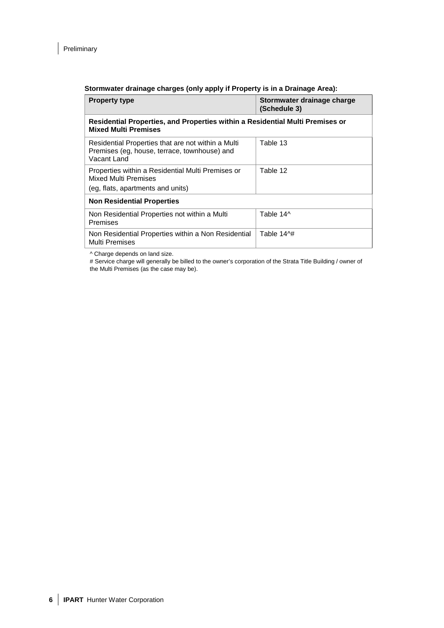$\overline{\phantom{a}}$ 

#### **Stormwater drainage charges (only apply if Property is in a Drainage Area):**

| <b>Property type</b>                                                                                              | Stormwater drainage charge<br>(Schedule 3) |  |  |  |
|-------------------------------------------------------------------------------------------------------------------|--------------------------------------------|--|--|--|
| Residential Properties, and Properties within a Residential Multi Premises or<br><b>Mixed Multi Premises</b>      |                                            |  |  |  |
| Residential Properties that are not within a Multi<br>Premises (eg, house, terrace, townhouse) and<br>Vacant Land | Table 13                                   |  |  |  |
| Properties within a Residential Multi Premises or<br>Mixed Multi Premises<br>(eg, flats, apartments and units)    | Table 12                                   |  |  |  |
| <b>Non Residential Properties</b>                                                                                 |                                            |  |  |  |
| Non Residential Properties not within a Multi<br>Premises                                                         | Table 14^                                  |  |  |  |
| Non Residential Properties within a Non Residential<br><b>Multi Premises</b>                                      | Table 14^#                                 |  |  |  |

^ Charge depends on land size.

# Service charge will generally be billed to the owner's corporation of the Strata Title Building / owner of the Multi Premises (as the case may be).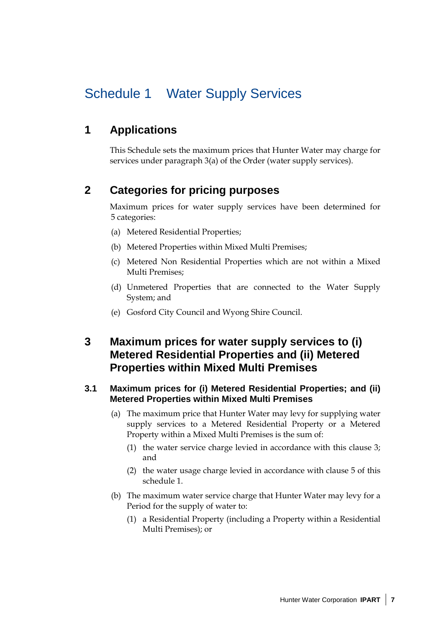## Schedule 1 Water Supply Services

## **1 Applications**

This Schedule sets the maximum prices that Hunter Water may charge for services under paragraph 3(a) of the Order (water supply services).

## **2 Categories for pricing purposes**

Maximum prices for water supply services have been determined for 5 categories:

- (a) Metered Residential Properties;
- (b) Metered Properties within Mixed Multi Premises;
- (c) Metered Non Residential Properties which are not within a Mixed Multi Premises;
- (d) Unmetered Properties that are connected to the Water Supply System; and
- (e) Gosford City Council and Wyong Shire Council.

## **3 Maximum prices for water supply services to (i) Metered Residential Properties and (ii) Metered Properties within Mixed Multi Premises**

### **3.1 Maximum prices for (i) Metered Residential Properties; and (ii) Metered Properties within Mixed Multi Premises**

- (a) The maximum price that Hunter Water may levy for supplying water supply services to a Metered Residential Property or a Metered Property within a Mixed Multi Premises is the sum of:
	- (1) the water service charge levied in accordance with this clause 3; and
	- (2) the water usage charge levied in accordance with clause 5 of this schedule 1.
- (b) The maximum water service charge that Hunter Water may levy for a Period for the supply of water to:
	- (1) a Residential Property (including a Property within a Residential Multi Premises); or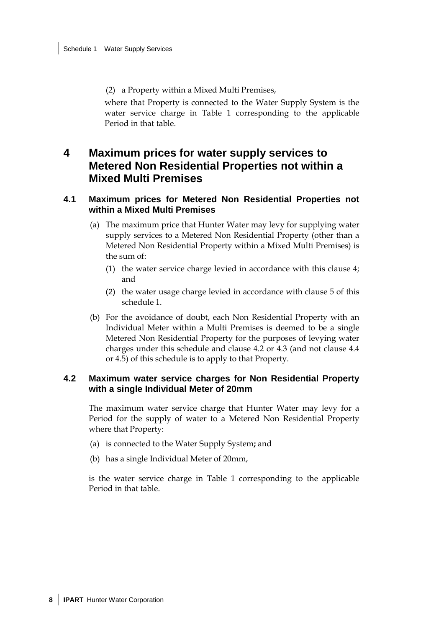(2) a Property within a Mixed Multi Premises,

where that Property is connected to the Water Supply System is the water service charge in Table 1 corresponding to the applicable Period in that table.

## **4 Maximum prices for water supply services to Metered Non Residential Properties not within a Mixed Multi Premises**

### **4.1 Maximum prices for Metered Non Residential Properties not within a Mixed Multi Premises**

- (a) The maximum price that Hunter Water may levy for supplying water supply services to a Metered Non Residential Property (other than a Metered Non Residential Property within a Mixed Multi Premises) is the sum of:
	- (1) the water service charge levied in accordance with this clause 4; and
	- (2) the water usage charge levied in accordance with clause 5 of this schedule 1.
- (b) For the avoidance of doubt, each Non Residential Property with an Individual Meter within a Multi Premises is deemed to be a single Metered Non Residential Property for the purposes of levying water charges under this schedule and clause 4.2 or 4.3 (and not clause 4.4 or 4.5) of this schedule is to apply to that Property.

### **4.2 Maximum water service charges for Non Residential Property with a single Individual Meter of 20mm**

The maximum water service charge that Hunter Water may levy for a Period for the supply of water to a Metered Non Residential Property where that Property:

- (a) is connected to the Water Supply System**;** and
- (b) has a single Individual Meter of 20mm,

is the water service charge in Table 1 corresponding to the applicable Period in that table.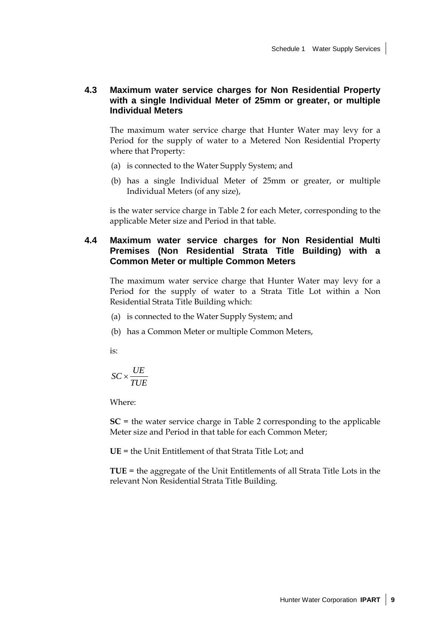### **4.3 Maximum water service charges for Non Residential Property with a single Individual Meter of 25mm or greater, or multiple Individual Meters**

The maximum water service charge that Hunter Water may levy for a Period for the supply of water to a Metered Non Residential Property where that Property:

- (a) is connected to the Water Supply System; and
- (b) has a single Individual Meter of 25mm or greater, or multiple Individual Meters (of any size),

is the water service charge in Table 2 for each Meter, corresponding to the applicable Meter size and Period in that table.

### **4.4 Maximum water service charges for Non Residential Multi Premises (Non Residential Strata Title Building) with a Common Meter or multiple Common Meters**

The maximum water service charge that Hunter Water may levy for a Period for the supply of water to a Strata Title Lot within a Non Residential Strata Title Building which:

- (a) is connected to the Water Supply System; and
- (b) has a Common Meter or multiple Common Meters,

is:

$$
SC \times \frac{UE}{TUE}
$$

Where:

**SC** = the water service charge in Table 2 corresponding to the applicable Meter size and Period in that table for each Common Meter;

**UE** = the Unit Entitlement of that Strata Title Lot; and

**TUE** = the aggregate of the Unit Entitlements of all Strata Title Lots in the relevant Non Residential Strata Title Building.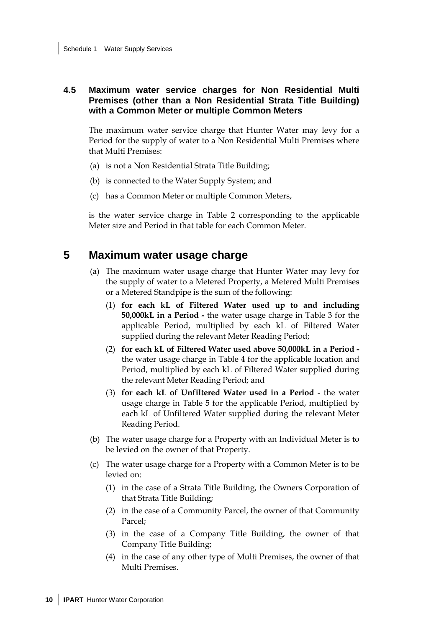### **4.5 Maximum water service charges for Non Residential Multi Premises (other than a Non Residential Strata Title Building) with a Common Meter or multiple Common Meters**

The maximum water service charge that Hunter Water may levy for a Period for the supply of water to a Non Residential Multi Premises where that Multi Premises:

- (a) is not a Non Residential Strata Title Building;
- (b) is connected to the Water Supply System; and
- (c) has a Common Meter or multiple Common Meters,

is the water service charge in Table 2 corresponding to the applicable Meter size and Period in that table for each Common Meter.

### **5 Maximum water usage charge**

- (a) The maximum water usage charge that Hunter Water may levy for the supply of water to a Metered Property, a Metered Multi Premises or a Metered Standpipe is the sum of the following:
	- (1) **for each kL of Filtered Water used up to and including 50,000kL in a Period -** the water usage charge in Table 3 for the applicable Period, multiplied by each kL of Filtered Water supplied during the relevant Meter Reading Period;
	- (2) **for each kL of Filtered Water used above 50,000kL in a Period**  the water usage charge in Table 4 for the applicable location and Period, multiplied by each kL of Filtered Water supplied during the relevant Meter Reading Period; and
	- (3) **for each kL of Unfiltered Water used in a Period** the water usage charge in Table 5 for the applicable Period, multiplied by each kL of Unfiltered Water supplied during the relevant Meter Reading Period.
- (b) The water usage charge for a Property with an Individual Meter is to be levied on the owner of that Property.
- (c) The water usage charge for a Property with a Common Meter is to be levied on:
	- (1) in the case of a Strata Title Building, the Owners Corporation of that Strata Title Building;
	- (2) in the case of a Community Parcel, the owner of that Community Parcel;
	- (3) in the case of a Company Title Building, the owner of that Company Title Building;
	- (4) in the case of any other type of Multi Premises, the owner of that Multi Premises.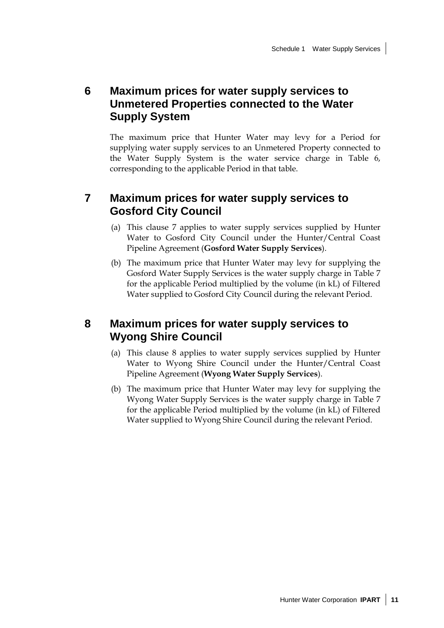## **6 Maximum prices for water supply services to Unmetered Properties connected to the Water Supply System**

The maximum price that Hunter Water may levy for a Period for supplying water supply services to an Unmetered Property connected to the Water Supply System is the water service charge in Table 6, corresponding to the applicable Period in that table.

### **7 Maximum prices for water supply services to Gosford City Council**

- (a) This clause 7 applies to water supply services supplied by Hunter Water to Gosford City Council under the Hunter/Central Coast Pipeline Agreement (**Gosford Water Supply Services**).
- (b) The maximum price that Hunter Water may levy for supplying the Gosford Water Supply Services is the water supply charge in Table 7 for the applicable Period multiplied by the volume (in kL) of Filtered Water supplied to Gosford City Council during the relevant Period.

## **8 Maximum prices for water supply services to Wyong Shire Council**

- (a) This clause 8 applies to water supply services supplied by Hunter Water to Wyong Shire Council under the Hunter/Central Coast Pipeline Agreement (**Wyong Water Supply Services**).
- (b) The maximum price that Hunter Water may levy for supplying the Wyong Water Supply Services is the water supply charge in Table 7 for the applicable Period multiplied by the volume (in kL) of Filtered Water supplied to Wyong Shire Council during the relevant Period.

Hunter Water Corporation **IPART 11**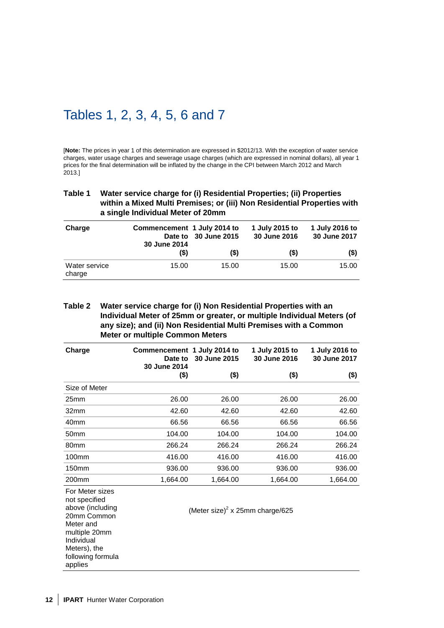## Tables 1, 2, 3, 4, 5, 6 and 7

[**Note:** The prices in year 1 of this determination are expressed in \$2012/13. With the exception of water service charges, water usage charges and sewerage usage charges (which are expressed in nominal dollars), all year 1 prices for the final determination will be inflated by the change in the CPI between March 2012 and March 2013.]

#### **Table 1 Water service charge for (i) Residential Properties; (ii) Properties within a Mixed Multi Premises; or (iii) Non Residential Properties with a single Individual Meter of 20mm**

| Charge                  | Commencement 1 July 2014 to<br>30 June 2014 | Date to 30 June 2015 | 1 July 2015 to<br>30 June 2016 | 1 July 2016 to<br>30 June 2017 |
|-------------------------|---------------------------------------------|----------------------|--------------------------------|--------------------------------|
|                         | $($ \$)                                     | $($ \$)              | (\$)                           | (\$)                           |
| Water service<br>charge | 15.00                                       | 15.00                | 15.00                          | 15.00                          |

#### **Table 2 Water service charge for (i) Non Residential Properties with an Individual Meter of 25mm or greater, or multiple Individual Meters (of any size); and (ii) Non Residential Multi Premises with a Common Meter or multiple Common Meters**

| Charge            | Commencement 1 July 2014 to<br>Date to<br>30 June 2014 | 30 June 2015 | 1 July 2015 to<br>30 June 2016 | 1 July 2016 to<br>30 June 2017 |
|-------------------|--------------------------------------------------------|--------------|--------------------------------|--------------------------------|
|                   | (\$)                                                   | $($ \$)      | $($)$                          | (\$)                           |
| Size of Meter     |                                                        |              |                                |                                |
| 25mm              | 26.00                                                  | 26.00        | 26.00                          | 26.00                          |
| 32 <sub>mm</sub>  | 42.60                                                  | 42.60        | 42.60                          | 42.60                          |
| 40 <sub>mm</sub>  | 66.56                                                  | 66.56        | 66.56                          | 66.56                          |
| 50 <sub>mm</sub>  | 104.00                                                 | 104.00       | 104.00                         | 104.00                         |
| 80 <sub>mm</sub>  | 266.24                                                 | 266.24       | 266.24                         | 266.24                         |
| 100 <sub>mm</sub> | 416.00                                                 | 416.00       | 416.00                         | 416.00                         |
| 150 <sub>mm</sub> | 936.00                                                 | 936.00       | 936.00                         | 936.00                         |
| 200 <sub>mm</sub> | 1,664.00                                               | 1,664.00     | 1,664.00                       | 1,664.00                       |

For Meter sizes

not specified above (including 20mm Common Meter and multiple 20mm Individual Meters), the following formula applies

(Meter size) $2 \times 25$ mm charge/625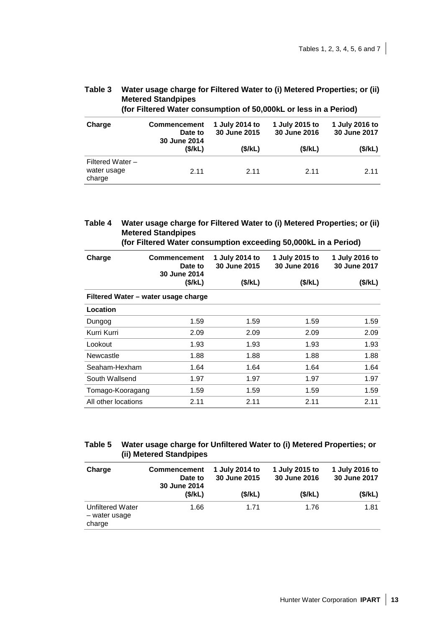| <b>Metered Standpipes</b><br>(for Filtered Water consumption of 50,000kL or less in a Period) |                                                |                                |                                |                                |  |  |  |
|-----------------------------------------------------------------------------------------------|------------------------------------------------|--------------------------------|--------------------------------|--------------------------------|--|--|--|
| Charge                                                                                        | <b>Commencement</b><br>Date to<br>30 June 2014 | 1 July 2014 to<br>30 June 2015 | 1 July 2015 to<br>30 June 2016 | 1 July 2016 to<br>30 June 2017 |  |  |  |
|                                                                                               | (\$/kL)                                        | (\$/kL)                        | (\$/kL)                        | (\$/kL)                        |  |  |  |
| Filtered Water $-$<br>water usage<br>charge                                                   | 2.11                                           | 2.11                           | 2.11                           | 2.11                           |  |  |  |

# **Table 3 Water usage charge for Filtered Water to (i) Metered Properties; or (ii)**

### **Table 4 Water usage charge for Filtered Water to (i) Metered Properties; or (ii) Metered Standpipes**

**(for Filtered Water consumption exceeding 50,000kL in a Period)**

| Charge              | <b>Commencement</b><br>Date to<br>30 June 2014 | 1 July 2014 to<br>30 June 2015 | 1 July 2015 to<br><b>30 June 2016</b> | 1 July 2016 to<br>30 June 2017 |
|---------------------|------------------------------------------------|--------------------------------|---------------------------------------|--------------------------------|
|                     | (\$/kL)                                        | (\$/kL)                        | (\$/kL)                               | (\$/kL)                        |
|                     | Filtered Water – water usage charge            |                                |                                       |                                |
| Location            |                                                |                                |                                       |                                |
| Dungog              | 1.59                                           | 1.59                           | 1.59                                  | 1.59                           |
| Kurri Kurri         | 2.09                                           | 2.09                           | 2.09                                  | 2.09                           |
| Lookout             | 1.93                                           | 1.93                           | 1.93                                  | 1.93                           |
| Newcastle           | 1.88                                           | 1.88                           | 1.88                                  | 1.88                           |
| Seaham-Hexham       | 1.64                                           | 1.64                           | 1.64                                  | 1.64                           |
| South Wallsend      | 1.97                                           | 1.97                           | 1.97                                  | 1.97                           |
| Tomago-Kooragang    | 1.59                                           | 1.59                           | 1.59                                  | 1.59                           |
| All other locations | 2.11                                           | 2.11                           | 2.11                                  | 2.11                           |

### **Table 5 Water usage charge for Unfiltered Water to (i) Metered Properties; or (ii) Metered Standpipes**

| Charge                                      | <b>Commencement</b><br>Date to<br>30 June 2014 | 1 July 2014 to<br>30 June 2015 | 1 July 2015 to<br>30 June 2016 | 1 July 2016 to<br>30 June 2017 |
|---------------------------------------------|------------------------------------------------|--------------------------------|--------------------------------|--------------------------------|
|                                             | (\$/kL)                                        | (\$/kL)                        | (\$/kL)                        | (\$/kL)                        |
| Unfiltered Water<br>- water usage<br>charge | 1.66                                           | 1.71                           | 1.76                           | 1.81                           |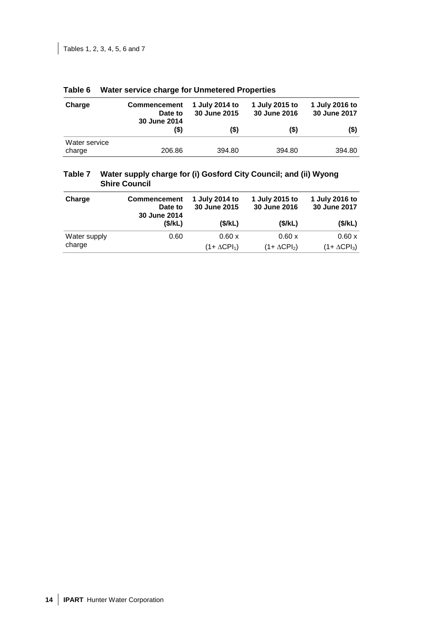| Charge                  | <b>Commencement</b><br>Date to<br>30 June 2014 | 1 July 2014 to<br>30 June 2015 | 1 July 2015 to<br>30 June 2016 | 1 July 2016 to<br>30 June 2017 |
|-------------------------|------------------------------------------------|--------------------------------|--------------------------------|--------------------------------|
|                         | (\$)                                           | (\$)                           | (\$)                           | (\$)                           |
| Water service<br>charge | 206.86                                         | 394.80                         | 394.80                         | 394.80                         |

### **Table 6 Water service charge for Unmetered Properties**

### **Table 7 Water supply charge for (i) Gosford City Council; and (ii) Wyong Shire Council**

| Charge       | <b>Commencement</b><br>Date to<br>30 June 2014 | 1 July 2014 to<br>30 June 2015 | 1 July 2015 to<br>30 June 2016 | 1 July 2016 to<br>30 June 2017 |
|--------------|------------------------------------------------|--------------------------------|--------------------------------|--------------------------------|
|              | (\$/kL)                                        | (\$/kL)                        | (\$/kL)                        | (\$/kL)                        |
| Water supply | 0.60                                           | 0.60 x                         | 0.60 x                         | 0.60 x                         |
| charge       |                                                | $(1+\Delta{\rm CPI}_1)$        | $(1+\Delta{\rm CPI}_2)$        | $(1 + \Delta CPI_3)$           |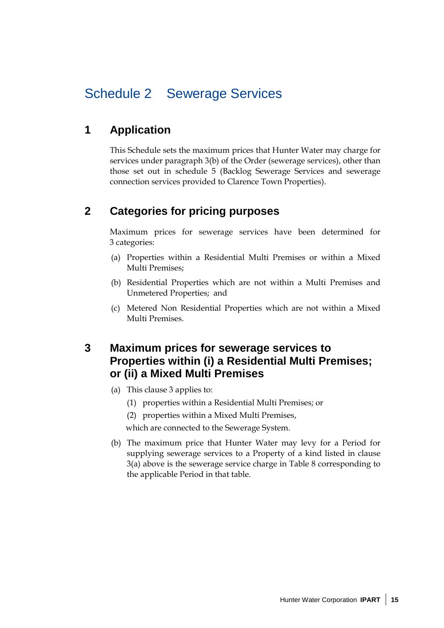## Schedule 2 Sewerage Services

## **1 Application**

This Schedule sets the maximum prices that Hunter Water may charge for services under paragraph 3(b) of the Order (sewerage services), other than those set out in schedule 5 (Backlog Sewerage Services and sewerage connection services provided to Clarence Town Properties).

## **2 Categories for pricing purposes**

Maximum prices for sewerage services have been determined for 3 categories:

- (a) Properties within a Residential Multi Premises or within a Mixed Multi Premises;
- (b) Residential Properties which are not within a Multi Premises and Unmetered Properties; and
- (c) Metered Non Residential Properties which are not within a Mixed Multi Premises.

## **3 Maximum prices for sewerage services to Properties within (i) a Residential Multi Premises; or (ii) a Mixed Multi Premises**

- (a) This clause 3 applies to:
	- (1) properties within a Residential Multi Premises; or
	- (2) properties within a Mixed Multi Premises,

which are connected to the Sewerage System.

(b) The maximum price that Hunter Water may levy for a Period for supplying sewerage services to a Property of a kind listed in clause 3(a) above is the sewerage service charge in Table 8 corresponding to the applicable Period in that table.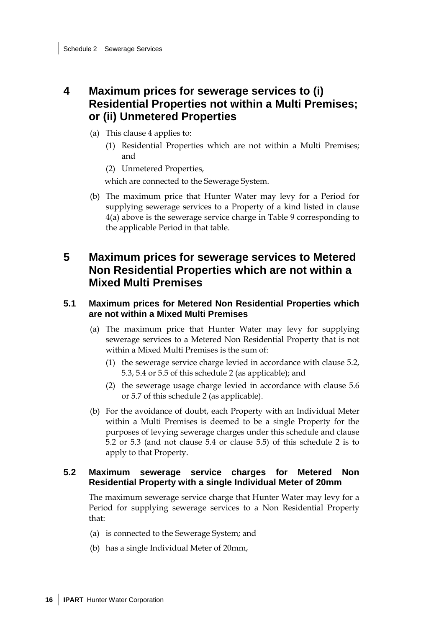## **4 Maximum prices for sewerage services to (i) Residential Properties not within a Multi Premises; or (ii) Unmetered Properties**

- (a) This clause 4 applies to:
	- (1) Residential Properties which are not within a Multi Premises; and
	- (2) Unmetered Properties,

which are connected to the Sewerage System.

(b) The maximum price that Hunter Water may levy for a Period for supplying sewerage services to a Property of a kind listed in clause 4(a) above is the sewerage service charge in Table 9 corresponding to the applicable Period in that table.

## **5 Maximum prices for sewerage services to Metered Non Residential Properties which are not within a Mixed Multi Premises**

### **5.1 Maximum prices for Metered Non Residential Properties which are not within a Mixed Multi Premises**

- (a) The maximum price that Hunter Water may levy for supplying sewerage services to a Metered Non Residential Property that is not within a Mixed Multi Premises is the sum of:
	- (1) the sewerage service charge levied in accordance with clause 5.2, 5.3, 5.4 or 5.5 of this schedule 2 (as applicable); and
	- (2) the sewerage usage charge levied in accordance with clause 5.6 or 5.7 of this schedule 2 (as applicable).
- (b) For the avoidance of doubt, each Property with an Individual Meter within a Multi Premises is deemed to be a single Property for the purposes of levying sewerage charges under this schedule and clause 5.2 or 5.3 (and not clause 5.4 or clause 5.5) of this schedule 2 is to apply to that Property.

### **5.2 Maximum sewerage service charges for Metered Non Residential Property with a single Individual Meter of 20mm**

The maximum sewerage service charge that Hunter Water may levy for a Period for supplying sewerage services to a Non Residential Property that:

- (a) is connected to the Sewerage System; and
- (b) has a single Individual Meter of 20mm,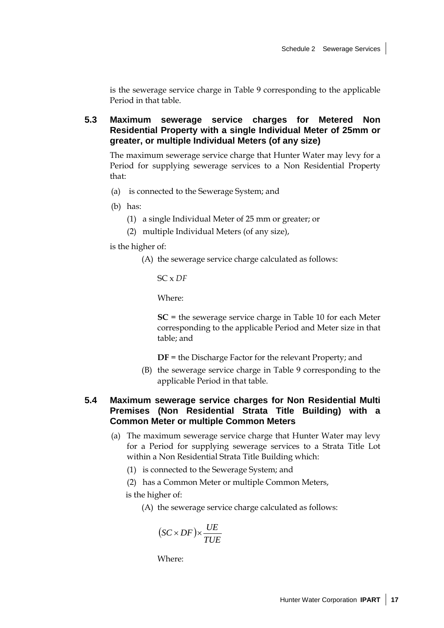is the sewerage service charge in Table 9 corresponding to the applicable Period in that table.

### **5.3 Maximum sewerage service charges for Metered Non Residential Property with a single Individual Meter of 25mm or greater, or multiple Individual Meters (of any size)**

The maximum sewerage service charge that Hunter Water may levy for a Period for supplying sewerage services to a Non Residential Property that:

- (a) is connected to the Sewerage System; and
- (b) has:
	- (1) a single Individual Meter of 25 mm or greater; or
	- (2) multiple Individual Meters (of any size),

is the higher of:

(A) the sewerage service charge calculated as follows:

SC x *DF*

Where:

**SC** = the sewerage service charge in Table 10 for each Meter corresponding to the applicable Period and Meter size in that table; and

**DF** = the Discharge Factor for the relevant Property; and

(B) the sewerage service charge in Table 9 corresponding to the applicable Period in that table.

### **5.4 Maximum sewerage service charges for Non Residential Multi Premises (Non Residential Strata Title Building) with a Common Meter or multiple Common Meters**

- (a) The maximum sewerage service charge that Hunter Water may levy for a Period for supplying sewerage services to a Strata Title Lot within a Non Residential Strata Title Building which:
	- (1) is connected to the Sewerage System; and
	- (2) has a Common Meter or multiple Common Meters,

is the higher of:

(A) the sewerage service charge calculated as follows:

$$
(SC \times DF) \times \frac{UE}{TUE}
$$

Where: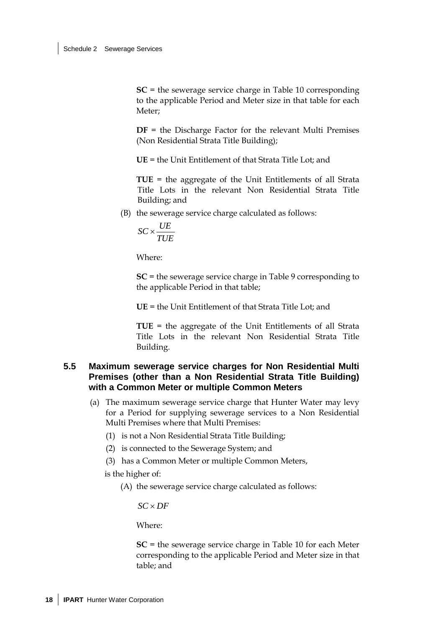**SC** = the sewerage service charge in Table 10 corresponding to the applicable Period and Meter size in that table for each Meter;

**DF** = the Discharge Factor for the relevant Multi Premises (Non Residential Strata Title Building);

**UE** = the Unit Entitlement of that Strata Title Lot; and

**TUE** = the aggregate of the Unit Entitlements of all Strata Title Lots in the relevant Non Residential Strata Title Building; and

(B) the sewerage service charge calculated as follows:

$$
\mathit{SC} \times \frac{\mathit{UE}}{\mathit{TUE}}
$$

Where:

**SC** = the sewerage service charge in Table 9 corresponding to the applicable Period in that table;

**UE** = the Unit Entitlement of that Strata Title Lot; and

**TUE** = the aggregate of the Unit Entitlements of all Strata Title Lots in the relevant Non Residential Strata Title Building.

### **5.5 Maximum sewerage service charges for Non Residential Multi Premises (other than a Non Residential Strata Title Building) with a Common Meter or multiple Common Meters**

- (a) The maximum sewerage service charge that Hunter Water may levy for a Period for supplying sewerage services to a Non Residential Multi Premises where that Multi Premises:
	- (1) is not a Non Residential Strata Title Building;
	- (2) is connected to the Sewerage System; and
	- (3) has a Common Meter or multiple Common Meters,
	- is the higher of:
		- (A) the sewerage service charge calculated as follows:

*SC* × *DF*

Where:

**SC** = the sewerage service charge in Table 10 for each Meter corresponding to the applicable Period and Meter size in that table; and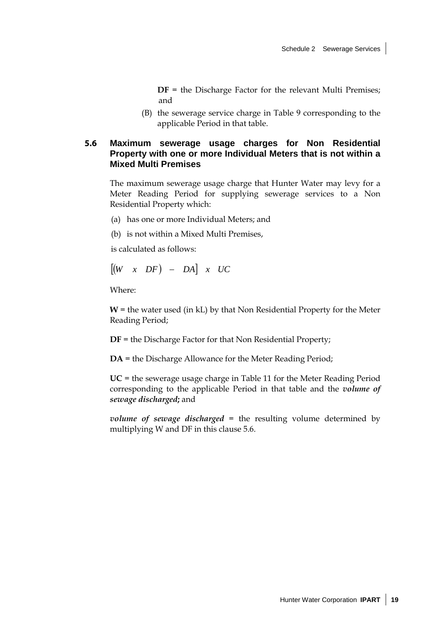**DF** = the Discharge Factor for the relevant Multi Premises; and

(B) the sewerage service charge in Table 9 corresponding to the applicable Period in that table.

### **5.6 Maximum sewerage usage charges for Non Residential Property with one or more Individual Meters that is not within a Mixed Multi Premises**

The maximum sewerage usage charge that Hunter Water may levy for a Meter Reading Period for supplying sewerage services to a Non Residential Property which:

- (a) has one or more Individual Meters; and
- (b) is not within a Mixed Multi Premises,

is calculated as follows:

$$
\begin{bmatrix} (W & x & DF) & - & DA \end{bmatrix} \quad x \quad UC
$$

Where:

 $W$  = the water used (in kL) by that Non Residential Property for the Meter Reading Period;

**DF** = the Discharge Factor for that Non Residential Property;

**DA** = the Discharge Allowance for the Meter Reading Period;

**UC** = the sewerage usage charge in Table 11 for the Meter Reading Period corresponding to the applicable Period in that table and the *volume of sewage discharged***;** and

*volume of sewage discharged* = the resulting volume determined by multiplying W and DF in this clause 5.6.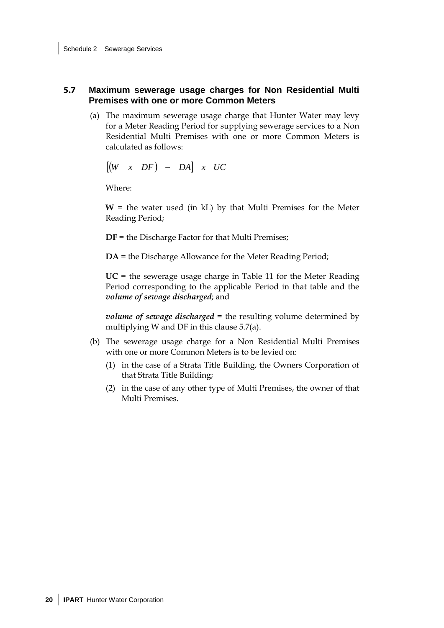### **5.7 Maximum sewerage usage charges for Non Residential Multi Premises with one or more Common Meters**

(a) The maximum sewerage usage charge that Hunter Water may levy for a Meter Reading Period for supplying sewerage services to a Non Residential Multi Premises with one or more Common Meters is calculated as follows:

$$
\begin{bmatrix} (W & x & DF) & - & DA \end{bmatrix} \quad x \quad UC
$$

Where:

 $W =$  the water used (in kL) by that Multi Premises for the Meter Reading Period;

**DF** = the Discharge Factor for that Multi Premises;

**DA** = the Discharge Allowance for the Meter Reading Period;

**UC** = the sewerage usage charge in Table 11 for the Meter Reading Period corresponding to the applicable Period in that table and the *volume of sewage discharged*; and

*volume of sewage discharged* = the resulting volume determined by multiplying W and DF in this clause 5.7(a).

- (b) The sewerage usage charge for a Non Residential Multi Premises with one or more Common Meters is to be levied on:
	- (1) in the case of a Strata Title Building, the Owners Corporation of that Strata Title Building;
	- (2) in the case of any other type of Multi Premises, the owner of that Multi Premises.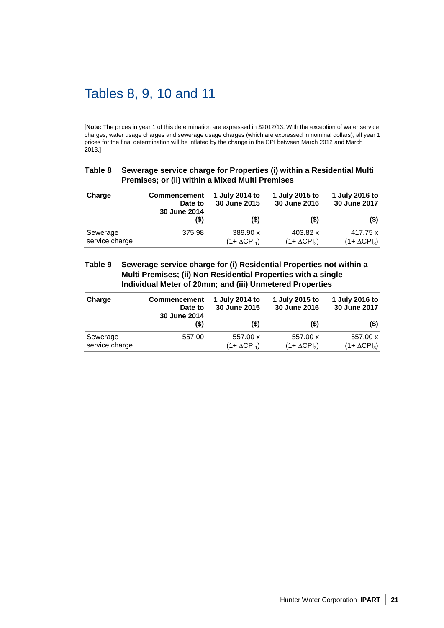## Tables 8, 9, 10 and 11

[**Note:** The prices in year 1 of this determination are expressed in \$2012/13. With the exception of water service charges, water usage charges and sewerage usage charges (which are expressed in nominal dollars), all year 1 prices for the final determination will be inflated by the change in the CPI between March 2012 and March 2013.]

#### **Table 8 Sewerage service charge for Properties (i) within a Residential Multi Premises; or (ii) within a Mixed Multi Premises**

| Charge                     | <b>Commencement</b><br>Date to<br>30 June 2014 | 1 July 2014 to<br>30 June 2015   | 1 July 2015 to<br>30 June 2016   | 1 July 2016 to<br>30 June 2017   |
|----------------------------|------------------------------------------------|----------------------------------|----------------------------------|----------------------------------|
|                            | (S)                                            | (5)                              | $($ \$)                          | (5)                              |
| Sewerage<br>service charge | 375.98                                         | 389.90 x<br>$(1 + \Delta CPI_1)$ | 403.82 x<br>$(1 + \Delta CPI_2)$ | 417.75 x<br>$(1 + \Delta CPI_3)$ |

#### **Table 9 Sewerage service charge for (i) Residential Properties not within a Multi Premises; (ii) Non Residential Properties with a single Individual Meter of 20mm; and (iii) Unmetered Properties**

| Charge                     | <b>Commencement</b><br>Date to<br>30 June 2014 | 1 July 2014 to<br>30 June 2015   | 1 July 2015 to<br>30 June 2016   | 1 July 2016 to<br>30 June 2017   |
|----------------------------|------------------------------------------------|----------------------------------|----------------------------------|----------------------------------|
|                            | (S)                                            | (S)                              | (S)                              | (\$)                             |
| Sewerage<br>service charge | 557.00                                         | 557.00 x<br>$(1 + \Delta CPI_1)$ | 557.00 x<br>$(1 + \Delta CPI_2)$ | 557.00 x<br>$(1 + \Delta CPI_3)$ |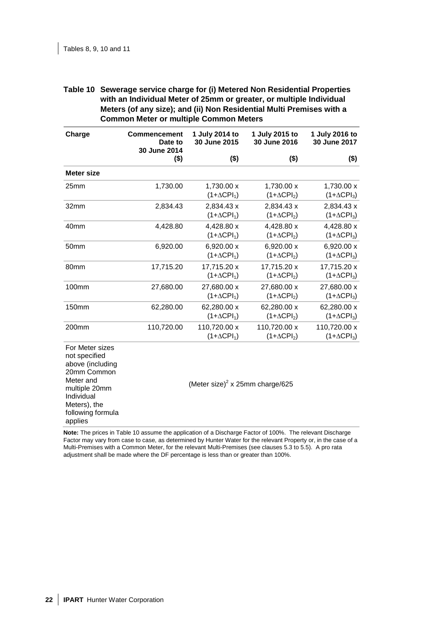| Table 10 Sewerage service charge for (i) Metered Non Residential Properties |
|-----------------------------------------------------------------------------|
| with an Individual Meter of 25mm or greater, or multiple Individual         |
| Meters (of any size); and (ii) Non Residential Multi Premises with a        |
| <b>Common Meter or multiple Common Meters</b>                               |

| Charge                                                                                                                                                          | <b>Commencement</b><br>Date to<br>30 June 2014 | 1 July 2014 to<br>30 June 2015              | 1 July 2015 to<br>30 June 2016     | 1 July 2016 to<br>30 June 2017     |
|-----------------------------------------------------------------------------------------------------------------------------------------------------------------|------------------------------------------------|---------------------------------------------|------------------------------------|------------------------------------|
|                                                                                                                                                                 | $($ \$)                                        | $($ \$)                                     | $($ \$)                            | $($ \$)                            |
| <b>Meter size</b>                                                                                                                                               |                                                |                                             |                                    |                                    |
| 25mm                                                                                                                                                            | 1,730.00                                       | 1,730.00 x<br>$(1+\Delta CPI_1)$            | 1,730.00 x<br>$(1+\Delta CPI_2)$   | 1,730.00 x<br>$(1+\Delta CPI_3)$   |
| 32mm                                                                                                                                                            | 2,834.43                                       | 2,834.43 x<br>$(1+\Delta CPI_1)$            | 2,834.43 x<br>$(1+\Delta CPI_2)$   | 2,834.43 x<br>$(1+\Delta CPI_3)$   |
| 40 <sub>mm</sub>                                                                                                                                                | 4,428.80                                       | 4,428.80 x<br>$(1+\Delta CPI_1)$            | 4,428.80 x<br>$(1+\Delta CPI_2)$   | 4,428.80 x<br>$(1+\Delta CPI_3)$   |
| 50 <sub>mm</sub>                                                                                                                                                | 6,920.00                                       | 6,920.00 x<br>$(1+\Delta CPI_1)$            | 6,920.00 x<br>$(1+\Delta CPI_2)$   | 6,920.00 x<br>$(1+\Delta CPI_3)$   |
| 80 <sub>mm</sub>                                                                                                                                                | 17,715.20                                      | 17,715.20 x<br>$(1+\Delta CPI_1)$           | 17,715.20 x<br>$(1+\Delta CPI_2)$  | 17,715.20 x<br>$(1+\Delta CPI_3)$  |
| 100mm                                                                                                                                                           | 27,680.00                                      | 27,680.00 x<br>$(1+\Delta CPI_1)$           | 27,680.00 x<br>$(1+\Delta CPI_2)$  | 27,680.00 x<br>$(1+\Delta CPI_3)$  |
| 150mm                                                                                                                                                           | 62,280.00                                      | 62,280.00 x<br>$(1+\Delta CPI_1)$           | 62,280.00 x<br>$(1+\Delta CPI_2)$  | 62,280.00 x<br>$(1+\Delta CPI_3)$  |
| 200mm                                                                                                                                                           | 110,720.00                                     | 110,720.00 x<br>$(1+\Delta CPI_1)$          | 110,720.00 x<br>$(1+\Delta CPI_2)$ | 110,720.00 x<br>$(1+\Delta CPI_3)$ |
| For Meter sizes<br>not specified<br>above (including<br>20mm Common<br>Meter and<br>multiple 20mm<br>Individual<br>Meters), the<br>following formula<br>applies |                                                | (Meter size) <sup>2</sup> x 25mm charge/625 |                                    |                                    |

**Note:** The prices in Table 10 assume the application of a Discharge Factor of 100%. The relevant Discharge Factor may vary from case to case, as determined by Hunter Water for the relevant Property or, in the case of a Multi-Premises with a Common Meter, for the relevant Multi-Premises (see clauses 5.3 to 5.5). A pro rata adjustment shall be made where the DF percentage is less than or greater than 100%.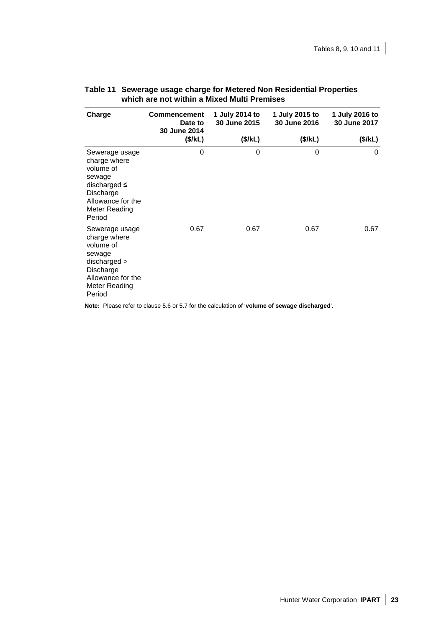| Charge                                                                                                                                         | <b>Commencement</b><br>Date to<br>30 June 2014 | 1 July 2014 to<br>30 June 2015 | 1 July 2015 to<br>30 June 2016 | 1 July 2016 to<br>30 June 2017 |
|------------------------------------------------------------------------------------------------------------------------------------------------|------------------------------------------------|--------------------------------|--------------------------------|--------------------------------|
|                                                                                                                                                | (\$/kL)                                        | (\$/kL)                        | (\$/kL)                        | (\$/kL)                        |
| Sewerage usage<br>charge where<br>volume of<br>sewage<br>discharged $\leq$<br>Discharge<br>Allowance for the<br><b>Meter Reading</b><br>Period | 0                                              | 0                              | 0                              | 0                              |
| Sewerage usage<br>charge where<br>volume of<br>sewage<br>discharged ><br>Discharge<br>Allowance for the<br><b>Meter Reading</b><br>Period      | 0.67                                           | 0.67                           | 0.67                           | 0.67                           |

### **Table 11 Sewerage usage charge for Metered Non Residential Properties which are not within a Mixed Multi Premises**

**Note:** Please refer to clause 5.6 or 5.7 for the calculation of '**volume of sewage discharged**'.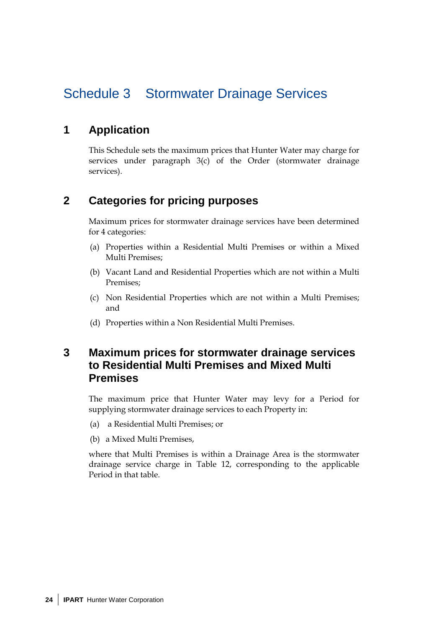## Schedule 3 Stormwater Drainage Services

## **1 Application**

This Schedule sets the maximum prices that Hunter Water may charge for services under paragraph 3(c) of the Order (stormwater drainage services).

### **2 Categories for pricing purposes**

Maximum prices for stormwater drainage services have been determined for 4 categories:

- (a) Properties within a Residential Multi Premises or within a Mixed Multi Premises;
- (b) Vacant Land and Residential Properties which are not within a Multi Premises;
- (c) Non Residential Properties which are not within a Multi Premises; and
- (d) Properties within a Non Residential Multi Premises.

### **3 Maximum prices for stormwater drainage services to Residential Multi Premises and Mixed Multi Premises**

The maximum price that Hunter Water may levy for a Period for supplying stormwater drainage services to each Property in:

- (a) a Residential Multi Premises; or
- (b) a Mixed Multi Premises,

where that Multi Premises is within a Drainage Area is the stormwater drainage service charge in Table 12, corresponding to the applicable Period in that table.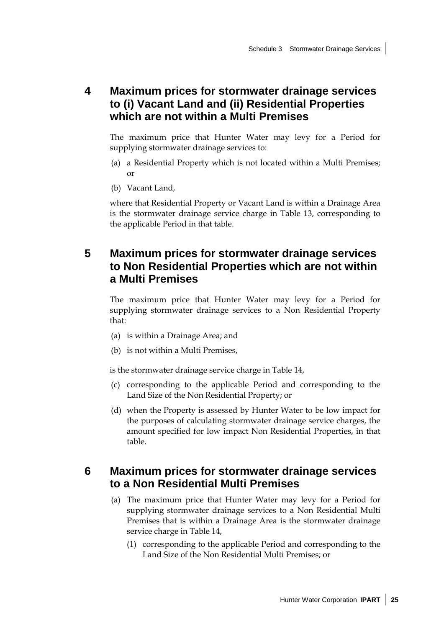## **4 Maximum prices for stormwater drainage services to (i) Vacant Land and (ii) Residential Properties which are not within a Multi Premises**

The maximum price that Hunter Water may levy for a Period for supplying stormwater drainage services to:

- (a) a Residential Property which is not located within a Multi Premises; or
- (b) Vacant Land,

where that Residential Property or Vacant Land is within a Drainage Area is the stormwater drainage service charge in Table 13, corresponding to the applicable Period in that table.

## **5 Maximum prices for stormwater drainage services to Non Residential Properties which are not within a Multi Premises**

The maximum price that Hunter Water may levy for a Period for supplying stormwater drainage services to a Non Residential Property that:

- (a) is within a Drainage Area; and
- (b) is not within a Multi Premises,

is the stormwater drainage service charge in Table 14,

- (c) corresponding to the applicable Period and corresponding to the Land Size of the Non Residential Property; or
- (d) when the Property is assessed by Hunter Water to be low impact for the purposes of calculating stormwater drainage service charges, the amount specified for low impact Non Residential Properties, in that table.

## **6 Maximum prices for stormwater drainage services to a Non Residential Multi Premises**

- (a) The maximum price that Hunter Water may levy for a Period for supplying stormwater drainage services to a Non Residential Multi Premises that is within a Drainage Area is the stormwater drainage service charge in Table 14,
	- (1) corresponding to the applicable Period and corresponding to the Land Size of the Non Residential Multi Premises; or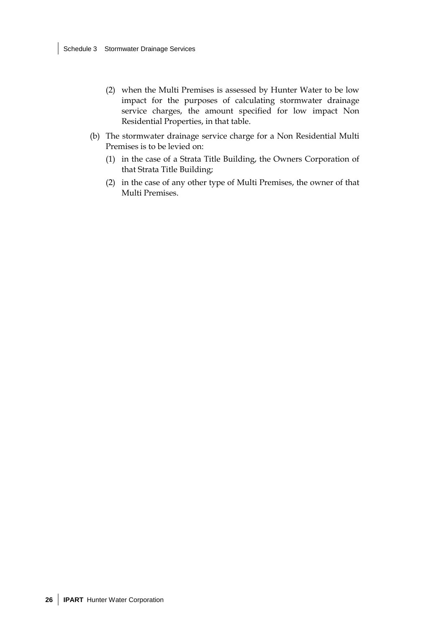- (2) when the Multi Premises is assessed by Hunter Water to be low impact for the purposes of calculating stormwater drainage service charges, the amount specified for low impact Non Residential Properties, in that table.
- (b) The stormwater drainage service charge for a Non Residential Multi Premises is to be levied on:
	- (1) in the case of a Strata Title Building, the Owners Corporation of that Strata Title Building;
	- (2) in the case of any other type of Multi Premises, the owner of that Multi Premises.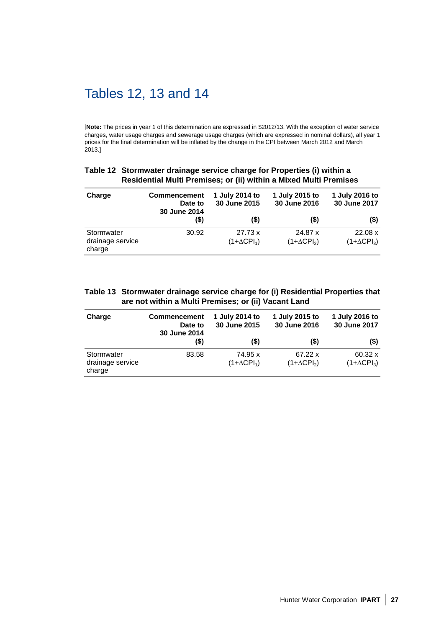## Tables 12, 13 and 14

[**Note:** The prices in year 1 of this determination are expressed in \$2012/13. With the exception of water service charges, water usage charges and sewerage usage charges (which are expressed in nominal dollars), all year 1 prices for the final determination will be inflated by the change in the CPI between March 2012 and March 2013.]

| Table 12 Stormwater drainage service charge for Properties (i) within a |
|-------------------------------------------------------------------------|
| Residential Multi Premises; or (ii) within a Mixed Multi Premises       |

| Charge                                   | <b>Commencement</b><br>Date to<br>30 June 2014 | 1 July 2014 to<br>30 June 2015 | 1 July 2015 to<br>30 June 2016 | 1 July 2016 to<br>30 June 2017 |
|------------------------------------------|------------------------------------------------|--------------------------------|--------------------------------|--------------------------------|
|                                          | (\$)                                           | (\$)                           | $($ \$)                        | (\$)                           |
| Stormwater<br>drainage service<br>charge | 30.92                                          | 27.73 x<br>$(1+\Delta CPI_1)$  | 24.87 x<br>$(1+\Delta CPI_2)$  | 22.08 x<br>$(1+\Delta CPI_3)$  |

### **Table 13 Stormwater drainage service charge for (i) Residential Properties that are not within a Multi Premises; or (ii) Vacant Land**

| Charge                                   | <b>Commencement</b><br>Date to<br>30 June 2014 | 1 July 2014 to<br>30 June 2015 | 1 July 2015 to<br>30 June 2016 | 1 July 2016 to<br>30 June 2017       |
|------------------------------------------|------------------------------------------------|--------------------------------|--------------------------------|--------------------------------------|
|                                          | (\$)                                           | (\$)                           | $($ \$)                        | (\$)                                 |
| Stormwater<br>drainage service<br>charge | 83.58                                          | 74.95 x<br>$(1+\Delta CPI_1)$  | 67.22 x<br>$(1+\Delta CPI_2)$  | $60.32 \times$<br>$(1+\Delta CPI_3)$ |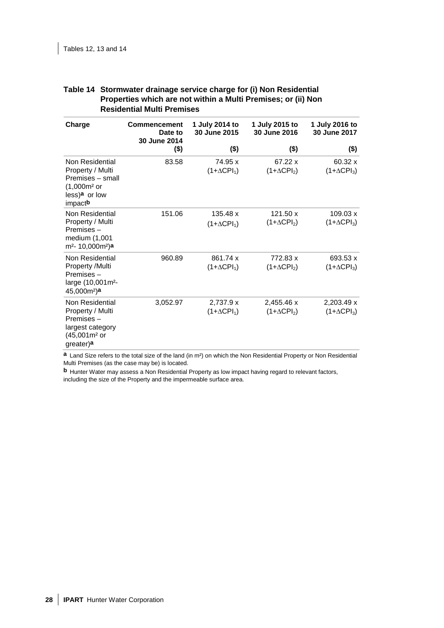| Charge                                                                                                                     | <b>Commencement</b><br>Date to<br>30 June 2014 | 1 July 2014 to<br>30 June 2015  | 1 July 2015 to<br>30 June 2016   | 1 July 2016 to<br>30 June 2017   |
|----------------------------------------------------------------------------------------------------------------------------|------------------------------------------------|---------------------------------|----------------------------------|----------------------------------|
|                                                                                                                            | (\$)                                           | $($ \$)                         | $($ \$)                          | (\$)                             |
| Non Residential<br>Property / Multi<br>Premises - small<br>(1,000m <sup>2</sup> or<br>less) <sup>a</sup> or low<br>impactb | 83.58                                          | 74.95 x<br>$(1+\Delta CPI_1)$   | 67.22 x<br>$(1+\Delta CPI_2)$    | 60.32 x<br>$(1+\Delta CPI_3)$    |
| Non Residential<br>Property / Multi<br>Premises -<br>medium (1,001<br>m <sup>2</sup> - 10,000m <sup>2</sup> )a             | 151.06                                         | 135.48 x<br>$(1+\Delta CPI_1)$  | 121.50 x<br>$(1+\Delta CPI_2)$   | 109.03 x<br>$(1+\Delta CPI_3)$   |
| Non Residential<br>Property /Multi<br>Premises-<br>large (10,001m <sup>2</sup> -<br>$45,000$ m <sup>2</sup> )a             | 960.89                                         | 861.74 x<br>$(1+\Delta CPI_1)$  | 772.83 x<br>$(1+\Delta CPI_2)$   | 693.53 x<br>$(1+\Delta CPI_3)$   |
| Non Residential<br>Property / Multi<br>Premises-<br>largest category<br>(45,001m <sup>2</sup> or<br>greater)a              | 3,052.97                                       | 2,737.9 x<br>$(1+\Delta CPI_1)$ | 2,455.46 x<br>$(1+\Delta CPI_2)$ | 2,203.49 x<br>$(1+\Delta CPI_3)$ |

#### **Table 14 Stormwater drainage service charge for (i) Non Residential Properties which are not within a Multi Premises; or (ii) Non Residential Multi Premises**

**a** Land Size refers to the total size of the land (in m²) on which the Non Residential Property or Non Residential Multi Premises (as the case may be) is located.

**b** Hunter Water may assess a Non Residential Property as low impact having regard to relevant factors, including the size of the Property and the impermeable surface area.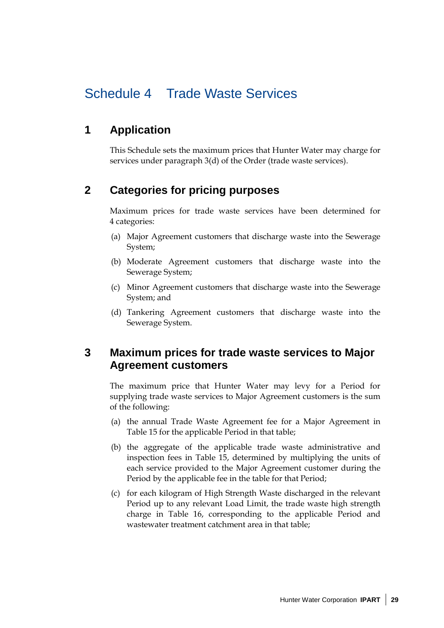## Schedule 4 Trade Waste Services

## **1 Application**

This Schedule sets the maximum prices that Hunter Water may charge for services under paragraph 3(d) of the Order (trade waste services).

## **2 Categories for pricing purposes**

Maximum prices for trade waste services have been determined for 4 categories:

- (a) Major Agreement customers that discharge waste into the Sewerage System;
- (b) Moderate Agreement customers that discharge waste into the Sewerage System;
- (c) Minor Agreement customers that discharge waste into the Sewerage System; and
- (d) Tankering Agreement customers that discharge waste into the Sewerage System.

## **3 Maximum prices for trade waste services to Major Agreement customers**

The maximum price that Hunter Water may levy for a Period for supplying trade waste services to Major Agreement customers is the sum of the following:

- (a) the annual Trade Waste Agreement fee for a Major Agreement in Table 15 for the applicable Period in that table;
- (b) the aggregate of the applicable trade waste administrative and inspection fees in Table 15, determined by multiplying the units of each service provided to the Major Agreement customer during the Period by the applicable fee in the table for that Period;
- (c) for each kilogram of High Strength Waste discharged in the relevant Period up to any relevant Load Limit, the trade waste high strength charge in Table 16, corresponding to the applicable Period and wastewater treatment catchment area in that table;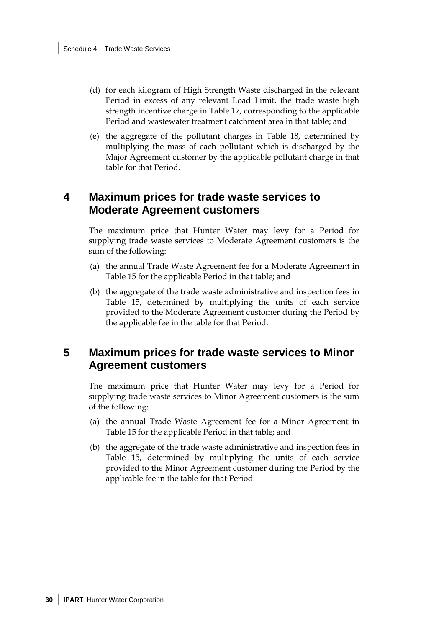- (d) for each kilogram of High Strength Waste discharged in the relevant Period in excess of any relevant Load Limit, the trade waste high strength incentive charge in Table 17, corresponding to the applicable Period and wastewater treatment catchment area in that table; and
- (e) the aggregate of the pollutant charges in Table 18, determined by multiplying the mass of each pollutant which is discharged by the Major Agreement customer by the applicable pollutant charge in that table for that Period.

### **4 Maximum prices for trade waste services to Moderate Agreement customers**

The maximum price that Hunter Water may levy for a Period for supplying trade waste services to Moderate Agreement customers is the sum of the following:

- (a) the annual Trade Waste Agreement fee for a Moderate Agreement in Table 15 for the applicable Period in that table; and
- (b) the aggregate of the trade waste administrative and inspection fees in Table 15, determined by multiplying the units of each service provided to the Moderate Agreement customer during the Period by the applicable fee in the table for that Period.

### **5 Maximum prices for trade waste services to Minor Agreement customers**

The maximum price that Hunter Water may levy for a Period for supplying trade waste services to Minor Agreement customers is the sum of the following:

- (a) the annual Trade Waste Agreement fee for a Minor Agreement in Table 15 for the applicable Period in that table; and
- (b) the aggregate of the trade waste administrative and inspection fees in Table 15, determined by multiplying the units of each service provided to the Minor Agreement customer during the Period by the applicable fee in the table for that Period.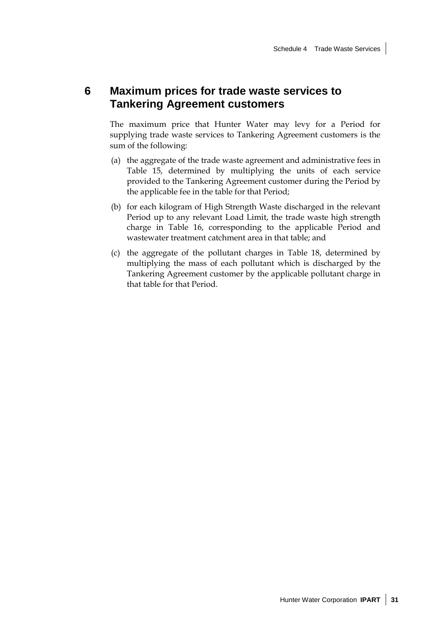## **6 Maximum prices for trade waste services to Tankering Agreement customers**

The maximum price that Hunter Water may levy for a Period for supplying trade waste services to Tankering Agreement customers is the sum of the following:

- (a) the aggregate of the trade waste agreement and administrative fees in Table 15, determined by multiplying the units of each service provided to the Tankering Agreement customer during the Period by the applicable fee in the table for that Period;
- (b) for each kilogram of High Strength Waste discharged in the relevant Period up to any relevant Load Limit, the trade waste high strength charge in Table 16, corresponding to the applicable Period and wastewater treatment catchment area in that table; and
- (c) the aggregate of the pollutant charges in Table 18, determined by multiplying the mass of each pollutant which is discharged by the Tankering Agreement customer by the applicable pollutant charge in that table for that Period.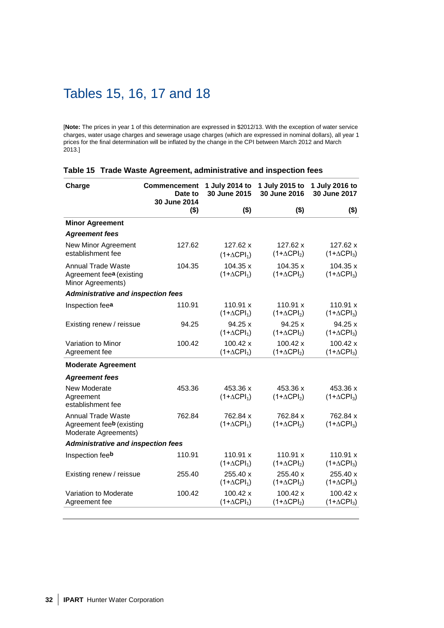## Tables 15, 16, 17 and 18

[**Note:** The prices in year 1 of this determination are expressed in \$2012/13. With the exception of water service charges, water usage charges and sewerage usage charges (which are expressed in nominal dollars), all year 1 prices for the final determination will be inflated by the change in the CPI between March 2012 and March 2013.]

| Charge                                                                          | <b>Commencement</b><br>Date to<br>30 June 2014 | 1 July 2014 to<br>30 June 2015 | 1 July 2015 to<br>30 June 2016 | 1 July 2016 to<br>30 June 2017 |
|---------------------------------------------------------------------------------|------------------------------------------------|--------------------------------|--------------------------------|--------------------------------|
|                                                                                 | $($ \$)                                        | $($ \$)                        | $($ \$)                        | $($ \$)                        |
| <b>Minor Agreement</b>                                                          |                                                |                                |                                |                                |
| <b>Agreement fees</b>                                                           |                                                |                                |                                |                                |
| New Minor Agreement<br>establishment fee                                        | 127.62                                         | 127.62 x<br>$(1+\Delta CPI_1)$ | 127.62 x<br>$(1+\Delta CPI_2)$ | 127.62 x<br>$(1+\Delta CPI_3)$ |
| Annual Trade Waste<br>Agreement fee <sup>a</sup> (existing<br>Minor Agreements) | 104.35                                         | 104.35 x<br>$(1+\Delta CPI_1)$ | 104.35 x<br>$(1+\Delta CPI_2)$ | 104.35 x<br>$(1+\Delta CPI_3)$ |
| <b>Administrative and inspection fees</b>                                       |                                                |                                |                                |                                |
| Inspection fee <sup>a</sup>                                                     | 110.91                                         | 110.91 x<br>$(1+\Delta CPI_1)$ | 110.91 x<br>$(1+\Delta CPI_2)$ | 110.91 x<br>$(1+\Delta CPI_3)$ |
| Existing renew / reissue                                                        | 94.25                                          | 94.25x<br>$(1+\Delta CPI_1)$   | 94.25x<br>$(1+\Delta CPI_2)$   | 94.25 x<br>$(1+\Delta CPI_3)$  |
| Variation to Minor<br>Agreement fee                                             | 100.42                                         | 100.42 x<br>$(1+\Delta CPI_1)$ | 100.42 x<br>$(1+\Delta CPI_2)$ | 100.42 x<br>$(1+\Delta CPI_3)$ |
| <b>Moderate Agreement</b>                                                       |                                                |                                |                                |                                |
| <b>Agreement fees</b>                                                           |                                                |                                |                                |                                |
| New Moderate<br>Agreement<br>establishment fee                                  | 453.36                                         | 453.36 x<br>$(1+\Delta CPI_1)$ | 453.36 x<br>$(1+\Delta CPI_2)$ | 453.36 x<br>$(1+\Delta CPI_3)$ |
| <b>Annual Trade Waste</b><br>Agreement feeb (existing<br>Moderate Agreements)   | 762.84                                         | 762.84 x<br>$(1+\Delta CPI_1)$ | 762.84 x<br>$(1+\Delta CPI_2)$ | 762.84 x<br>$(1+\Delta CPI_3)$ |
| <b>Administrative and inspection fees</b>                                       |                                                |                                |                                |                                |
| Inspection feeb                                                                 | 110.91                                         | 110.91 x<br>$(1+\Delta CPI_1)$ | 110.91 x<br>$(1+\Delta CPI_2)$ | 110.91 x<br>$(1+\Delta CPI_3)$ |
| Existing renew / reissue                                                        | 255.40                                         | 255.40 x<br>$(1+\Delta CPI_1)$ | 255.40 x<br>$(1+\Delta CPI_2)$ | 255.40 x<br>$(1+\Delta CPI_3)$ |
| Variation to Moderate<br>Agreement fee                                          | 100.42                                         | 100.42 x<br>$(1+\Delta CPI_1)$ | 100.42 x<br>$(1+\Delta CPI_2)$ | 100.42 x<br>$(1+\Delta CPI_3)$ |

#### **Table 15 Trade Waste Agreement, administrative and inspection fees**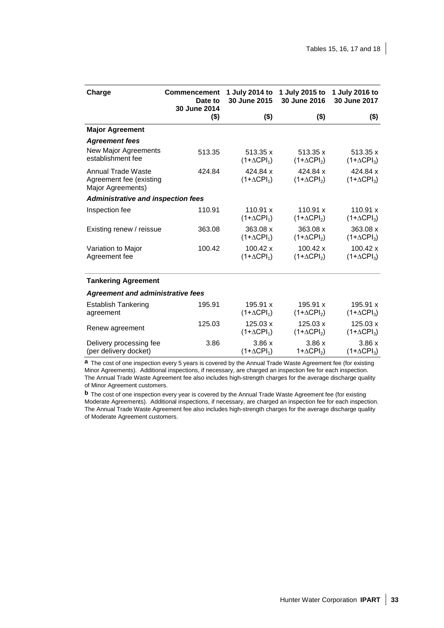| Charge                                                                                                                                                                 | <b>Commencement</b><br>Date to<br>30 June 2014 | 1 July 2014 to<br>30 June 2015 | 1 July 2015 to<br>30 June 2016 | 1 July 2016 to<br>30 June 2017 |
|------------------------------------------------------------------------------------------------------------------------------------------------------------------------|------------------------------------------------|--------------------------------|--------------------------------|--------------------------------|
|                                                                                                                                                                        | $($ \$)                                        | $($ \$)                        | $($ \$)                        | $($ \$)                        |
| <b>Major Agreement</b>                                                                                                                                                 |                                                |                                |                                |                                |
| <b>Agreement fees</b>                                                                                                                                                  |                                                |                                |                                |                                |
| <b>New Major Agreements</b><br>establishment fee                                                                                                                       | 513.35                                         | 513.35 x<br>$(1+\Delta CPI_1)$ | 513.35 x<br>$(1+\Delta CPI_2)$ | 513.35 x<br>$(1+\Delta CPI_3)$ |
| <b>Annual Trade Waste</b><br>Agreement fee (existing<br>Major Agreements)                                                                                              | 424.84                                         | 424.84 x<br>$(1+\Delta CPI_1)$ | 424.84 x<br>$(1+\Delta CPI_2)$ | 424.84 x<br>$(1+\Delta CPI_3)$ |
| <b>Administrative and inspection fees</b>                                                                                                                              |                                                |                                |                                |                                |
| Inspection fee                                                                                                                                                         | 110.91                                         | 110.91 x<br>$(1+\Delta CPI_1)$ | 110.91 x<br>$(1+\Delta CPI_2)$ | 110.91 x<br>$(1+\Delta CPI_3)$ |
| Existing renew / reissue                                                                                                                                               | 363.08                                         | 363.08 x<br>$(1+\Delta CPI_1)$ | 363.08 x<br>$(1+\Delta CPI_2)$ | 363.08 x<br>$(1+\Delta CPI_3)$ |
| Variation to Major<br>Agreement fee                                                                                                                                    | 100.42                                         | 100.42 x<br>$(1+\Delta CPI_1)$ | 100.42 x<br>$(1+\Delta CPI_2)$ | 100.42 x<br>$(1+\Delta CPI_3)$ |
| <b>Tankering Agreement</b>                                                                                                                                             |                                                |                                |                                |                                |
| <b>Agreement and administrative fees</b>                                                                                                                               |                                                |                                |                                |                                |
| <b>Establish Tankering</b><br>agreement                                                                                                                                | 195.91                                         | 195.91 x<br>$(1+\Delta CPI_1)$ | 195.91 x<br>$(1+\Delta CPI_2)$ | 195.91 x<br>$(1+\Delta CPI_3)$ |
| Renew agreement                                                                                                                                                        | 125.03                                         | 125.03 x<br>$(1+\Delta CPI_1)$ | 125.03 x<br>$(1+\Delta CPI_2)$ | 125.03 x<br>$(1+\Delta CPI_3)$ |
| Delivery processing fee<br>(per delivery docket)<br><b>a</b> The cost of ano inspection eveny 5 years is severed by the Annual Trade Waste Agreement foo (for existing | 3.86                                           | 3.86x<br>$(1+\Delta CPI_1)$    | 3.86x<br>$1 + \Delta CPI_2$    | 3.86x<br>$(1+\Delta CPI_3)$    |

**a** The cost of one inspection every 5 years is covered by the Annual Trade Waste Agreement fee (for existing Minor Agreements). Additional inspections, if necessary, are charged an inspection fee for each inspection. The Annual Trade Waste Agreement fee also includes high-strength charges for the average discharge quality of Minor Agreement customers.

**b** The cost of one inspection every year is covered by the Annual Trade Waste Agreement fee (for existing Moderate Agreements). Additional inspections, if necessary, are charged an inspection fee for each inspection. The Annual Trade Waste Agreement fee also includes high-strength charges for the average discharge quality of Moderate Agreement customers.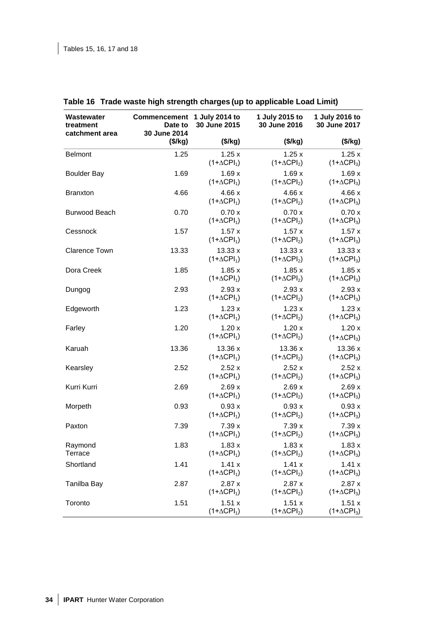| Wastewater<br>treatment | Commencement<br>Date to<br>30 June 2014 | 1 July 2014 to<br>30 June 2015 | 1 July 2015 to<br>30 June 2016 | 1 July 2016 to<br>30 June 2017 |
|-------------------------|-----------------------------------------|--------------------------------|--------------------------------|--------------------------------|
| catchment area          | (\$/kg)                                 | (\$/kg)                        | (\$/kg)                        | (\$/kg)                        |
| <b>Belmont</b>          | 1.25                                    | 1.25x<br>$(1+\Delta CPI_1)$    | 1.25x<br>$(1+\Delta CPI_2)$    | 1.25x<br>$(1+\Delta CPI_3)$    |
| <b>Boulder Bay</b>      | 1.69                                    | 1.69x<br>$(1+\Delta CPI_1)$    | 1.69x<br>$(1+\Delta CPI_2)$    | 1.69x<br>$(1+\Delta CPI_3)$    |
| <b>Branxton</b>         | 4.66                                    | 4.66 x<br>$(1+\Delta CPI_1)$   | 4.66x<br>$(1+\Delta CPI_2)$    | 4.66 x<br>$(1+\Delta CPI_3)$   |
| <b>Burwood Beach</b>    | 0.70                                    | 0.70x<br>$(1+\Delta CPI_1)$    | 0.70x<br>$(1+\Delta CPI_2)$    | 0.70x<br>$(1+\Delta CPI_3)$    |
| Cessnock                | 1.57                                    | 1.57x<br>$(1+\Delta CPI_1)$    | 1.57x<br>$(1+\Delta CPI_2)$    | 1.57x<br>$(1+\Delta CPI_3)$    |
| <b>Clarence Town</b>    | 13.33                                   | 13.33 x<br>$(1+\Delta CPI_1)$  | 13.33 x<br>$(1+\Delta CPI_2)$  | 13.33x<br>$(1+\Delta CPI_3)$   |
| Dora Creek              | 1.85                                    | 1.85x<br>$(1+\Delta CPI_1)$    | 1.85x<br>$(1+\Delta CPI_2)$    | 1.85x<br>$(1+\Delta CPI_3)$    |
| Dungog                  | 2.93                                    | 2.93x<br>$(1+\Delta CPI_1)$    | 2.93x<br>$(1+\Delta CPI_2)$    | 2.93x<br>$(1+\Delta CPI_3)$    |
| Edgeworth               | 1.23                                    | 1.23x<br>$(1+\Delta CPI_1)$    | 1.23x<br>$(1+\Delta CPI_2)$    | 1.23x<br>$(1+\Delta CPI_3)$    |
| Farley                  | 1.20                                    | 1.20x<br>$(1+\Delta CPI_1)$    | 1.20x<br>$(1+\Delta CPI_2)$    | 1.20x<br>$(1+\Delta CPI_3)$    |
| Karuah                  | 13.36                                   | 13.36 x<br>$(1+\Delta CPI_1)$  | 13.36 x<br>$(1+\Delta CPI_2)$  | 13.36 x<br>$(1+\Delta CPI_3)$  |
| Kearsley                | 2.52                                    | 2.52x<br>$(1+\Delta CPI_1)$    | 2.52x<br>$(1+\Delta CPI_2)$    | 2.52x<br>$(1+\Delta CPI_3)$    |
| Kurri Kurri             | 2.69                                    | 2.69x<br>$(1+\Delta CPI_1)$    | 2.69x<br>$(1+\Delta CPI_2)$    | 2.69x<br>$(1+\Delta CPI_3)$    |
| Morpeth                 | 0.93                                    | 0.93x<br>$(1+\Delta CPI_1)$    | 0.93x<br>$(1+\Delta CPI_2)$    | 0.93x<br>$(1+\Delta CPI_3)$    |
| Paxton                  | 7.39                                    | 7.39 x<br>$(1+\Delta CPI_1)$   | 7.39x<br>$(1+\Delta CPI_2)$    | 7.39x<br>$(1+\Delta CPI_3)$    |
| Raymond<br>Terrace      | 1.83                                    | 1.83x<br>$(1+\Delta CPI_1)$    | 1.83x<br>$(1+\Delta CPI_2)$    | 1.83x<br>$(1+\Delta CPI_3)$    |
| Shortland               | 1.41                                    | 1.41x<br>$(1+\Delta CPI_1)$    | 1.41x<br>$(1+\Delta CPI_2)$    | 1.41x<br>$(1+\Delta CPI_3)$    |
| Tanilba Bay             | 2.87                                    | 2.87x<br>$(1+\Delta CPI_1)$    | 2.87x<br>$(1+\Delta CPI_2)$    | 2.87x<br>$(1+\Delta CPI_3)$    |
| Toronto                 | 1.51                                    | 1.51 x<br>$(1+\Delta CPI_1)$   | 1.51 x<br>$(1+\Delta CPI_2)$   | 1.51x<br>$(1+\Delta CPI_3)$    |

### **Table 16 Trade waste high strength charges (up to applicable Load Limit)**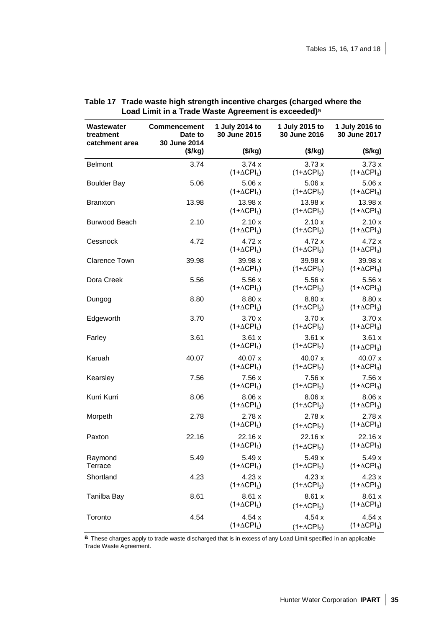| Wastewater<br>treatment<br>catchment area | Commencement<br>Date to<br>30 June 2014 | 1 July 2014 to<br>30 June 2015 | 1 July 2015 to<br>30 June 2016 | 1 July 2016 to<br>30 June 2017 |
|-------------------------------------------|-----------------------------------------|--------------------------------|--------------------------------|--------------------------------|
|                                           | (\$/kg)                                 | (\$/kg)                        | (\$/kg)                        | (\$/kg)                        |
| <b>Belmont</b>                            | 3.74                                    | 3.74x<br>$(1+\Delta CPI_1)$    | 3.73x<br>$(1+\Delta CPI_2)$    | 3.73x<br>$(1+\Delta CPI_3)$    |
| <b>Boulder Bay</b>                        | 5.06                                    | 5.06x<br>$(1+\Delta CPI_1)$    | 5.06x<br>$(1+\Delta CPI_2)$    | 5.06x<br>$(1+\Delta CPI_3)$    |
| <b>Branxton</b>                           | 13.98                                   | 13.98 x<br>$(1+\Delta CPI_1)$  | 13.98 x<br>$(1+\Delta CPI_2)$  | 13.98 x<br>$(1+\Delta CPI_3)$  |
| Burwood Beach                             | 2.10                                    | 2.10x<br>$(1+\Delta CPI_1)$    | 2.10x<br>$(1+\Delta CPI_2)$    | 2.10x<br>$(1+\Delta CPI_3)$    |
| Cessnock                                  | 4.72                                    | 4.72 x<br>$(1+\Delta CPI_1)$   | 4.72 x<br>$(1+\Delta CPI_2)$   | 4.72x<br>$(1+\Delta CPI_3)$    |
| <b>Clarence Town</b>                      | 39.98                                   | 39.98 x<br>$(1+\Delta CPI_1)$  | 39.98 x<br>$(1+\Delta CPI_2)$  | 39.98 x<br>$(1+\Delta CPI_3)$  |
| Dora Creek                                | 5.56                                    | 5.56x<br>$(1+\Delta CPI_1)$    | 5.56x<br>$(1+\Delta CPI_2)$    | 5.56x<br>$(1+\Delta CPI_3)$    |
| Dungog                                    | 8.80                                    | 8.80 x<br>$(1+\Delta CPI_1)$   | 8.80 x<br>$(1+\Delta CPI_2)$   | 8.80 x<br>$(1+\Delta CPI_3)$   |
| Edgeworth                                 | 3.70                                    | 3.70x<br>$(1+\Delta CPI_1)$    | 3.70x<br>$(1+\Delta CPI_2)$    | 3.70x<br>$(1+\Delta CPI_3)$    |
| Farley                                    | 3.61                                    | 3.61x<br>$(1+\Delta CPI_1)$    | 3.61x<br>$(1+\Delta CPI_2)$    | 3.61x<br>$(1+\Delta CPI_3)$    |
| Karuah                                    | 40.07                                   | 40.07 x<br>$(1+\Delta CPI_1)$  | 40.07 x<br>$(1+\Delta CPI_2)$  | 40.07 x<br>$(1+\Delta CPI_3)$  |
| Kearsley                                  | 7.56                                    | 7.56 x<br>$(1+\Delta CPI_1)$   | 7.56x<br>$(1+\Delta CPI_2)$    | 7.56 x<br>$(1+\Delta CPI_3)$   |
| Kurri Kurri                               | 8.06                                    | 8.06x<br>$(1+\Delta CPI_1)$    | 8.06 x<br>$(1+\Delta CPI_2)$   | 8.06 x<br>$(1+\Delta CPI_3)$   |
| Morpeth                                   | 2.78                                    | 2.78x<br>$(1+\Delta CPI_1)$    | 2.78x<br>$(1+\Delta CPI_2)$    | 2.78x<br>$(1+\Delta CPI_3)$    |
| Paxton                                    | 22.16                                   | 22.16x<br>$(1+\Delta CPI_1)$   | 22.16 x<br>$(1+\Delta CPI_2)$  | 22.16x<br>$(1+\Delta CPI_3)$   |
| Raymond<br>Terrace                        | 5.49                                    | 5.49x<br>$(1+\Delta CPI_1)$    | 5.49x<br>$(1+\Delta CPI_2)$    | 5.49x<br>$(1+\Delta CPI_3)$    |
| Shortland                                 | 4.23                                    | 4.23x<br>$(1+\Delta CPI_1)$    | 4.23x<br>$(1+\Delta CPI_2)$    | 4.23x<br>$(1+\Delta CPI_3)$    |
| Tanilba Bay                               | 8.61                                    | 8.61x<br>$(1+\Delta CPI_1)$    | 8.61x<br>$(1+\Delta CPI_2)$    | 8.61x<br>$(1+\Delta CPI_3)$    |
| Toronto                                   | 4.54                                    | 4.54x<br>$(1+\Delta CPI_1)$    | 4.54x<br>$(1+\Delta CPI_2)$    | 4.54x<br>$(1+\Delta CPI_3)$    |

| Table 17 Trade waste high strength incentive charges (charged where the |
|-------------------------------------------------------------------------|
| Load Limit in a Trade Waste Agreement is exceeded) <sup>a</sup>         |

**a** These charges apply to trade waste discharged that is in excess of any Load Limit specified in an applicable Trade Waste Agreement.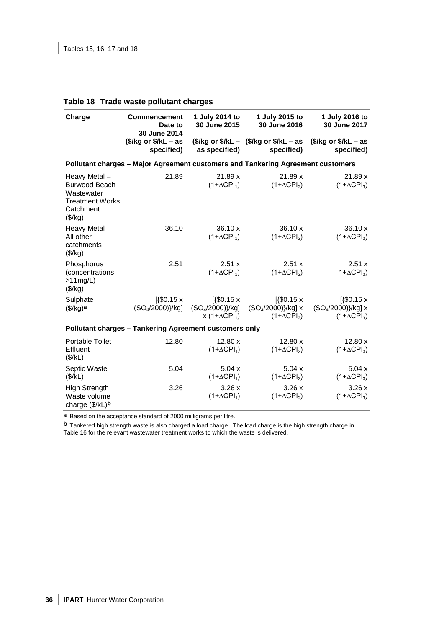| Charge                                                                                               | <b>Commencement</b><br>Date to<br>30 June 2014                                  | 1 July 2014 to<br>30 June 2015                                | 1 July 2015 to<br>30 June 2016                                | 1 July 2016 to<br>30 June 2017                                           |
|------------------------------------------------------------------------------------------------------|---------------------------------------------------------------------------------|---------------------------------------------------------------|---------------------------------------------------------------|--------------------------------------------------------------------------|
|                                                                                                      | $$/kg or $/kL - as$<br>specified)                                               | as specified)                                                 | $$/kg$ or $$/kL - $/kg$ or $$/kL - as$<br>specified)          | $$/kg or $/kL - as$<br>specified)                                        |
|                                                                                                      | Pollutant charges - Major Agreement customers and Tankering Agreement customers |                                                               |                                                               |                                                                          |
| Heavy Metal-<br><b>Burwood Beach</b><br>Wastewater<br><b>Treatment Works</b><br>Catchment<br>(\$/kg) | 21.89                                                                           | 21.89 x<br>$(1+\Delta CPI_1)$                                 | 21.89x<br>$(1+\Delta CPI_2)$                                  | 21.89 x<br>$(1+\Delta CPI_3)$                                            |
| Heavy Metal-<br>All other<br>catchments<br>(\$/kg)                                                   | 36.10                                                                           | 36.10 x<br>$(1+\Delta CPI_1)$                                 | 36.10 x<br>$(1+\Delta CPI_2)$                                 | 36.10 x<br>$(1+\Delta CPI_3)$                                            |
| Phosphorus<br>(concentrations<br>$>11$ mg/L)<br>(\$/kg)                                              | 2.51                                                                            | 2.51 x<br>$(1+\Delta CPI_1)$                                  | 2.51 x<br>$(1+\Delta CPI_2)$                                  | 2.51x<br>$1 + \Delta CPI_3$                                              |
| Sulphate<br>$($/kg)$ a                                                                               | $[150.15 \times$<br>$(SO4/2000)\}/kg$                                           | $[150.15 \times$<br>$(SO4/2000)\}/kg$<br>x $(1+\Delta CPI_1)$ | $[150.15 \times$<br>$(SO4/2000)$ /kg] x<br>$(1+\Delta CPI_2)$ | $[450.15 \times$<br>(SO <sub>4</sub> /2000)}/kg] x<br>$(1+\Delta CPI_3)$ |
|                                                                                                      | Pollutant charges - Tankering Agreement customers only                          |                                                               |                                                               |                                                                          |
| Portable Toilet<br>Effluent<br>(\$/kL)                                                               | 12.80                                                                           | 12.80 x<br>$(1+\Delta CPI_1)$                                 | 12.80 x<br>$(1+\Delta CPI_2)$                                 | 12.80 x<br>$(1+\Delta CPI_3)$                                            |
| Septic Waste<br>(\$/kL)                                                                              | 5.04                                                                            | 5.04x<br>$(1+\Delta CPI_1)$                                   | 5.04x<br>$(1+\Delta CPI_2)$                                   | 5.04x<br>$(1+\Delta CPI_3)$                                              |
| <b>High Strength</b><br>Waste volume<br>charge (\$/kL)b                                              | 3.26                                                                            | 3.26x<br>$(1+\Delta CPI_1)$                                   | 3.26x<br>$(1+\Delta CPI_2)$                                   | 3.26x<br>$(1+\Delta CPI_3)$                                              |

### **Table 18 Trade waste pollutant charges**

**a** Based on the acceptance standard of 2000 milligrams per litre.

**b** Tankered high strength waste is also charged a load charge. The load charge is the high strength charge in Table 16 for the relevant wastewater treatment works to which the waste is delivered.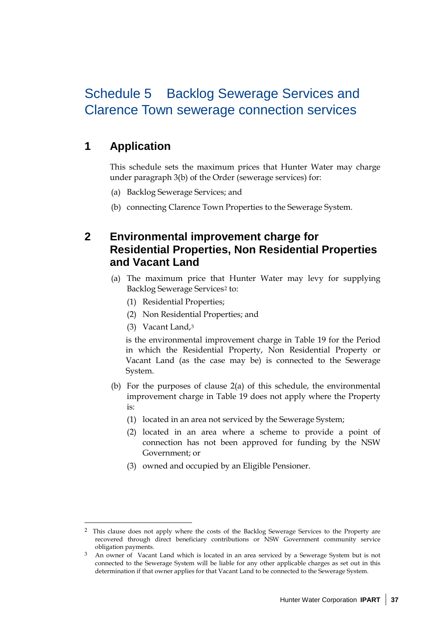## Schedule 5 Backlog Sewerage Services and Clarence Town sewerage connection services

## **1 Application**

This schedule sets the maximum prices that Hunter Water may charge under paragraph 3(b) of the Order (sewerage services) for:

- (a) Backlog Sewerage Services; and
- (b) connecting Clarence Town Properties to the Sewerage System.

## **2 Environmental improvement charge for Residential Properties, Non Residential Properties and Vacant Land**

- (a) The maximum price that Hunter Water may levy for supplying Backlog Sewerage Services[2](#page-42-0) to:
	- (1) Residential Properties;
	- (2) Non Residential Properties; and
	- (3) Vacant Land,[3](#page-42-1)

 $\ddot{\phantom{a}}$ 

is the environmental improvement charge in Table 19 for the Period in which the Residential Property, Non Residential Property or Vacant Land (as the case may be) is connected to the Sewerage System.

- (b) For the purposes of clause 2(a) of this schedule, the environmental improvement charge in Table 19 does not apply where the Property is:
	- (1) located in an area not serviced by the Sewerage System;
	- (2) located in an area where a scheme to provide a point of connection has not been approved for funding by the NSW Government; or
	- (3) owned and occupied by an Eligible Pensioner.

<span id="page-42-0"></span><sup>2</sup> This clause does not apply where the costs of the Backlog Sewerage Services to the Property are recovered through direct beneficiary contributions or NSW Government community service obligation payments.

<span id="page-42-1"></span><sup>3</sup> An owner of Vacant Land which is located in an area serviced by a Sewerage System but is not connected to the Sewerage System will be liable for any other applicable charges as set out in this determination if that owner applies for that Vacant Land to be connected to the Sewerage System.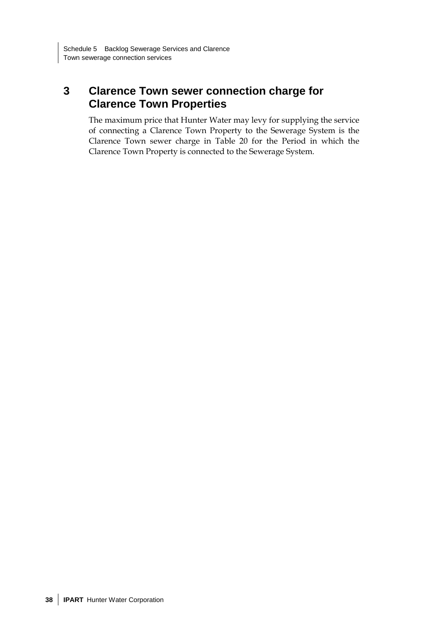## **3 Clarence Town sewer connection charge for Clarence Town Properties**

The maximum price that Hunter Water may levy for supplying the service of connecting a Clarence Town Property to the Sewerage System is the Clarence Town sewer charge in Table 20 for the Period in which the Clarence Town Property is connected to the Sewerage System.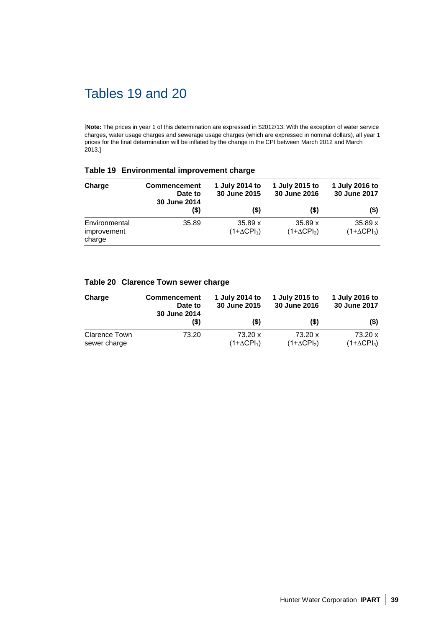## Tables 19 and 20

[**Note:** The prices in year 1 of this determination are expressed in \$2012/13. With the exception of water service charges, water usage charges and sewerage usage charges (which are expressed in nominal dollars), all year 1 prices for the final determination will be inflated by the change in the CPI between March 2012 and March 2013.]

#### **Table 19 Environmental improvement charge**

| Charge                                 | <b>Commencement</b><br>Date to<br>30 June 2014 | 1 July 2014 to<br>30 June 2015 | 1 July 2015 to<br>30 June 2016 | 1 July 2016 to<br>30 June 2017 |
|----------------------------------------|------------------------------------------------|--------------------------------|--------------------------------|--------------------------------|
|                                        | (\$)                                           | (S)                            | $($ \$)                        | $(\$)$                         |
| Environmental<br>improvement<br>charge | 35.89                                          | 35.89 x<br>$(1+\Delta CPI_1)$  | 35.89 x<br>$(1+\Delta CPI_2)$  | 35.89 x<br>$(1+\Delta CPI_3)$  |

### **Table 20 Clarence Town sewer charge**

| Charge                        | <b>Commencement</b><br>Date to<br>30 June 2014 | 1 July 2014 to<br>30 June 2015 | 1 July 2015 to<br>30 June 2016 | 1 July 2016 to<br>30 June 2017 |  |
|-------------------------------|------------------------------------------------|--------------------------------|--------------------------------|--------------------------------|--|
|                               | (5)                                            | (S)                            | (\$)                           | $($ \$                         |  |
| Clarence Town<br>sewer charge | 73.20                                          | 73.20 x<br>$(1+\Delta CPI_1)$  | 73.20 x<br>$(1+\Delta CPI_2)$  | 73.20 x<br>$(1+\Delta CPI_3)$  |  |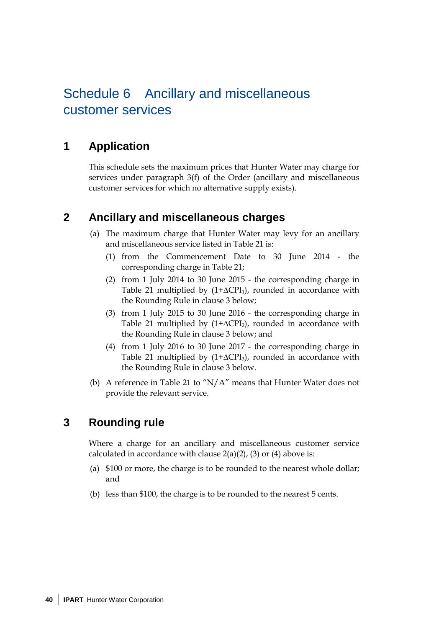## Schedule 6 Ancillary and miscellaneous customer services

## **1 Application**

This schedule sets the maximum prices that Hunter Water may charge for services under paragraph 3(f) of the Order (ancillary and miscellaneous customer services for which no alternative supply exists).

### **2 Ancillary and miscellaneous charges**

- (a) The maximum charge that Hunter Water may levy for an ancillary and miscellaneous service listed in Table 21 is:
	- (1) from the Commencement Date to 30 June 2014 the corresponding charge in Table 21;
	- (2) from 1 July 2014 to 30 June 2015 the corresponding charge in Table 21 multiplied by  $(1+\Delta CPI_1)$ , rounded in accordance with the Rounding Rule in clause 3 below;
	- (3) from 1 July 2015 to 30 June 2016 the corresponding charge in Table 21 multiplied by (1+∆CPI<sub>2</sub>), rounded in accordance with the Rounding Rule in clause 3 below; and
	- (4) from 1 July 2016 to 30 June 2017 the corresponding charge in Table 21 multiplied by  $(1+\Delta{\rm CPI}_3)$ , rounded in accordance with the Rounding Rule in clause 3 below.
- (b) A reference in Table 21 to " $N/A$ " means that Hunter Water does not provide the relevant service.

## **3 Rounding rule**

Where a charge for an ancillary and miscellaneous customer service calculated in accordance with clause  $2(a)(2)$ , (3) or (4) above is:

- (a) \$100 or more, the charge is to be rounded to the nearest whole dollar; and
- (b) less than \$100, the charge is to be rounded to the nearest 5 cents.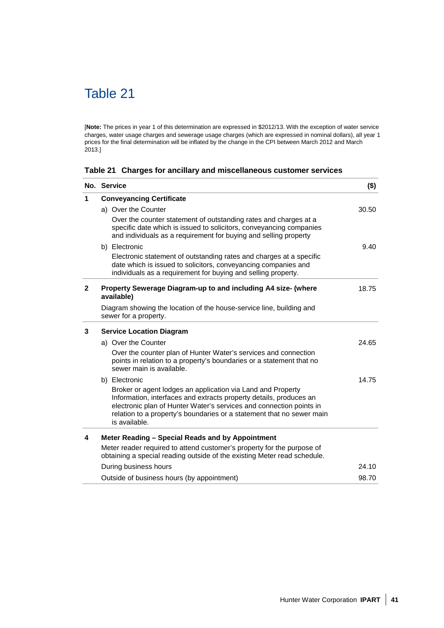## Table 21

[**Note:** The prices in year 1 of this determination are expressed in \$2012/13. With the exception of water service charges, water usage charges and sewerage usage charges (which are expressed in nominal dollars), all year 1 prices for the final determination will be inflated by the change in the CPI between March 2012 and March 2013.]

|  |  |  | Table 21 Charges for ancillary and miscellaneous customer services |  |  |
|--|--|--|--------------------------------------------------------------------|--|--|
|--|--|--|--------------------------------------------------------------------|--|--|

|              | No. Service                                                                                                                                                                                                                                                                                        | $($ \$) |
|--------------|----------------------------------------------------------------------------------------------------------------------------------------------------------------------------------------------------------------------------------------------------------------------------------------------------|---------|
| 1            | <b>Conveyancing Certificate</b>                                                                                                                                                                                                                                                                    |         |
|              | a) Over the Counter                                                                                                                                                                                                                                                                                | 30.50   |
|              | Over the counter statement of outstanding rates and charges at a<br>specific date which is issued to solicitors, conveyancing companies<br>and individuals as a requirement for buying and selling property                                                                                        |         |
|              | b) Electronic                                                                                                                                                                                                                                                                                      | 9.40    |
|              | Electronic statement of outstanding rates and charges at a specific<br>date which is issued to solicitors, conveyancing companies and<br>individuals as a requirement for buying and selling property.                                                                                             |         |
| $\mathbf{2}$ | Property Sewerage Diagram-up to and including A4 size- (where<br>available)                                                                                                                                                                                                                        | 18.75   |
|              | Diagram showing the location of the house-service line, building and<br>sewer for a property.                                                                                                                                                                                                      |         |
| 3            | <b>Service Location Diagram</b>                                                                                                                                                                                                                                                                    |         |
|              | a) Over the Counter                                                                                                                                                                                                                                                                                | 24.65   |
|              | Over the counter plan of Hunter Water's services and connection<br>points in relation to a property's boundaries or a statement that no<br>sewer main is available.                                                                                                                                |         |
|              | b) Electronic                                                                                                                                                                                                                                                                                      | 14.75   |
|              | Broker or agent lodges an application via Land and Property<br>Information, interfaces and extracts property details, produces an<br>electronic plan of Hunter Water's services and connection points in<br>relation to a property's boundaries or a statement that no sewer main<br>is available. |         |
| 4            | Meter Reading - Special Reads and by Appointment                                                                                                                                                                                                                                                   |         |
|              | Meter reader required to attend customer's property for the purpose of<br>obtaining a special reading outside of the existing Meter read schedule.                                                                                                                                                 |         |
|              | During business hours                                                                                                                                                                                                                                                                              | 24.10   |
|              | Outside of business hours (by appointment)                                                                                                                                                                                                                                                         | 98.70   |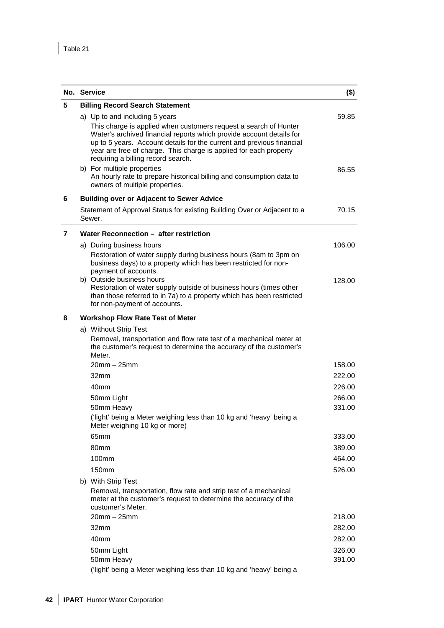|   | No. Service                                                                                                                                                                                                                                                                                                                                                                                                                                                                                            | $($ \$)        |  |  |  |
|---|--------------------------------------------------------------------------------------------------------------------------------------------------------------------------------------------------------------------------------------------------------------------------------------------------------------------------------------------------------------------------------------------------------------------------------------------------------------------------------------------------------|----------------|--|--|--|
| 5 | <b>Billing Record Search Statement</b>                                                                                                                                                                                                                                                                                                                                                                                                                                                                 |                |  |  |  |
|   | a) Up to and including 5 years<br>This charge is applied when customers request a search of Hunter<br>Water's archived financial reports which provide account details for<br>up to 5 years. Account details for the current and previous financial<br>year are free of charge. This charge is applied for each property<br>requiring a billing record search.<br>b) For multiple properties<br>An hourly rate to prepare historical billing and consumption data to<br>owners of multiple properties. | 59.85<br>86.55 |  |  |  |
| 6 | <b>Building over or Adjacent to Sewer Advice</b>                                                                                                                                                                                                                                                                                                                                                                                                                                                       |                |  |  |  |
|   | Statement of Approval Status for existing Building Over or Adjacent to a<br>Sewer.                                                                                                                                                                                                                                                                                                                                                                                                                     | 70.15          |  |  |  |
| 7 | Water Reconnection - after restriction                                                                                                                                                                                                                                                                                                                                                                                                                                                                 |                |  |  |  |
|   | a) During business hours                                                                                                                                                                                                                                                                                                                                                                                                                                                                               | 106.00         |  |  |  |
|   | Restoration of water supply during business hours (8am to 3pm on<br>business days) to a property which has been restricted for non-<br>payment of accounts.                                                                                                                                                                                                                                                                                                                                            |                |  |  |  |
|   | b) Outside business hours<br>Restoration of water supply outside of business hours (times other<br>than those referred to in 7a) to a property which has been restricted<br>for non-payment of accounts.                                                                                                                                                                                                                                                                                               | 128.00         |  |  |  |
| 8 | <b>Workshop Flow Rate Test of Meter</b>                                                                                                                                                                                                                                                                                                                                                                                                                                                                |                |  |  |  |
|   | a) Without Strip Test                                                                                                                                                                                                                                                                                                                                                                                                                                                                                  |                |  |  |  |
|   | Removal, transportation and flow rate test of a mechanical meter at<br>the customer's request to determine the accuracy of the customer's<br>Meter.                                                                                                                                                                                                                                                                                                                                                    |                |  |  |  |
|   | $20$ mm $-25$ mm                                                                                                                                                                                                                                                                                                                                                                                                                                                                                       | 158.00         |  |  |  |
|   | 32mm                                                                                                                                                                                                                                                                                                                                                                                                                                                                                                   | 222.00         |  |  |  |
|   | 40mm                                                                                                                                                                                                                                                                                                                                                                                                                                                                                                   | 226.00         |  |  |  |
|   | 50mm Light                                                                                                                                                                                                                                                                                                                                                                                                                                                                                             | 266.00         |  |  |  |
|   | 50mm Heavy                                                                                                                                                                                                                                                                                                                                                                                                                                                                                             | 331.00         |  |  |  |
|   | ('light' being a Meter weighing less than 10 kg and 'heavy' being a<br>Meter weighing 10 kg or more)                                                                                                                                                                                                                                                                                                                                                                                                   |                |  |  |  |
|   | 65mm                                                                                                                                                                                                                                                                                                                                                                                                                                                                                                   | 333.00         |  |  |  |
|   | 80 <sub>mm</sub>                                                                                                                                                                                                                                                                                                                                                                                                                                                                                       | 389.00         |  |  |  |
|   | 100mm                                                                                                                                                                                                                                                                                                                                                                                                                                                                                                  | 464.00         |  |  |  |
|   | 150mm                                                                                                                                                                                                                                                                                                                                                                                                                                                                                                  | 526.00         |  |  |  |
|   | b) With Strip Test<br>Removal, transportation, flow rate and strip test of a mechanical<br>meter at the customer's request to determine the accuracy of the<br>customer's Meter.<br>$20$ mm $-25$ mm                                                                                                                                                                                                                                                                                                   | 218.00         |  |  |  |
|   | 32mm                                                                                                                                                                                                                                                                                                                                                                                                                                                                                                   | 282.00         |  |  |  |
|   | 40 <sub>mm</sub>                                                                                                                                                                                                                                                                                                                                                                                                                                                                                       | 282.00         |  |  |  |
|   | 50mm Light                                                                                                                                                                                                                                                                                                                                                                                                                                                                                             | 326.00         |  |  |  |
|   | 50mm Heavy                                                                                                                                                                                                                                                                                                                                                                                                                                                                                             | 391.00         |  |  |  |
|   | ('light' being a Meter weighing less than 10 kg and 'heavy' being a                                                                                                                                                                                                                                                                                                                                                                                                                                    |                |  |  |  |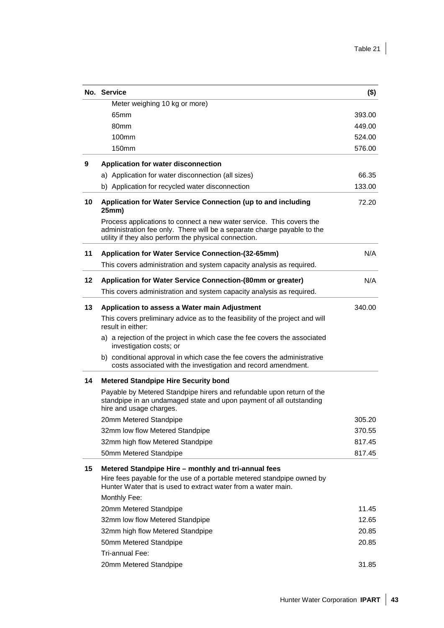|    | No. Service                                                                                                                                                                                              | $($ \$) |
|----|----------------------------------------------------------------------------------------------------------------------------------------------------------------------------------------------------------|---------|
|    | Meter weighing 10 kg or more)                                                                                                                                                                            |         |
|    | 65mm                                                                                                                                                                                                     | 393.00  |
|    | 80 <sub>mm</sub>                                                                                                                                                                                         | 449.00  |
|    | 100 <sub>mm</sub>                                                                                                                                                                                        | 524.00  |
|    | 150 <sub>mm</sub>                                                                                                                                                                                        | 576.00  |
| 9  | Application for water disconnection                                                                                                                                                                      |         |
|    | a) Application for water disconnection (all sizes)                                                                                                                                                       | 66.35   |
|    | b) Application for recycled water disconnection                                                                                                                                                          | 133.00  |
| 10 | Application for Water Service Connection (up to and including<br>25mm)                                                                                                                                   | 72.20   |
|    | Process applications to connect a new water service. This covers the<br>administration fee only. There will be a separate charge payable to the<br>utility if they also perform the physical connection. |         |
| 11 | Application for Water Service Connection-(32-65mm)                                                                                                                                                       | N/A     |
|    | This covers administration and system capacity analysis as required.                                                                                                                                     |         |
| 12 | Application for Water Service Connection-(80mm or greater)                                                                                                                                               | N/A     |
|    | This covers administration and system capacity analysis as required.                                                                                                                                     |         |
| 13 | Application to assess a Water main Adjustment                                                                                                                                                            | 340.00  |
|    | This covers preliminary advice as to the feasibility of the project and will<br>result in either:                                                                                                        |         |
|    | a) a rejection of the project in which case the fee covers the associated<br>investigation costs; or                                                                                                     |         |
|    | b) conditional approval in which case the fee covers the administrative<br>costs associated with the investigation and record amendment.                                                                 |         |
| 14 | <b>Metered Standpipe Hire Security bond</b>                                                                                                                                                              |         |
|    | Payable by Metered Standpipe hirers and refundable upon return of the<br>standpipe in an undamaged state and upon payment of all outstanding<br>hire and usage charges.                                  |         |
|    | 20mm Metered Standpipe                                                                                                                                                                                   | 305.20  |
|    | 32mm low flow Metered Standpipe                                                                                                                                                                          | 370.55  |
|    | 32mm high flow Metered Standpipe                                                                                                                                                                         | 817.45  |
|    | 50mm Metered Standpipe                                                                                                                                                                                   | 817.45  |
| 15 | Metered Standpipe Hire - monthly and tri-annual fees<br>Hire fees payable for the use of a portable metered standpipe owned by                                                                           |         |
|    | Hunter Water that is used to extract water from a water main.                                                                                                                                            |         |
|    | Monthly Fee:                                                                                                                                                                                             |         |
|    | 20mm Metered Standpipe                                                                                                                                                                                   | 11.45   |
|    | 32mm low flow Metered Standpipe                                                                                                                                                                          | 12.65   |
|    | 32mm high flow Metered Standpipe                                                                                                                                                                         | 20.85   |
|    | 50mm Metered Standpipe                                                                                                                                                                                   | 20.85   |
|    | Tri-annual Fee:                                                                                                                                                                                          |         |
|    | 20mm Metered Standpipe                                                                                                                                                                                   | 31.85   |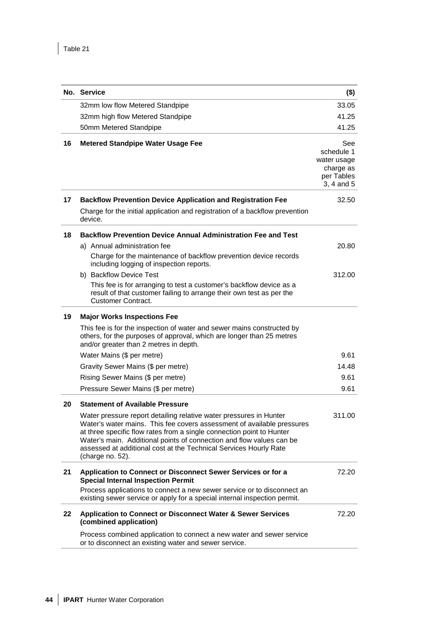|         | No. Service                                                                                                                                                                                                                                                                                                                                                                            | $($ \$)                                                                   |
|---------|----------------------------------------------------------------------------------------------------------------------------------------------------------------------------------------------------------------------------------------------------------------------------------------------------------------------------------------------------------------------------------------|---------------------------------------------------------------------------|
|         | 32mm low flow Metered Standpipe                                                                                                                                                                                                                                                                                                                                                        | 33.05                                                                     |
|         | 32mm high flow Metered Standpipe                                                                                                                                                                                                                                                                                                                                                       | 41.25                                                                     |
|         | 50mm Metered Standpipe                                                                                                                                                                                                                                                                                                                                                                 | 41.25                                                                     |
| 16      | <b>Metered Standpipe Water Usage Fee</b>                                                                                                                                                                                                                                                                                                                                               | See<br>schedule 1<br>water usage<br>charge as<br>per Tables<br>3, 4 and 5 |
| 17      | <b>Backflow Prevention Device Application and Registration Fee</b><br>Charge for the initial application and registration of a backflow prevention<br>device.                                                                                                                                                                                                                          | 32.50                                                                     |
| 18      | <b>Backflow Prevention Device Annual Administration Fee and Test</b>                                                                                                                                                                                                                                                                                                                   |                                                                           |
|         | a) Annual administration fee<br>Charge for the maintenance of backflow prevention device records<br>including logging of inspection reports.                                                                                                                                                                                                                                           | 20.80                                                                     |
|         | b) Backflow Device Test<br>This fee is for arranging to test a customer's backflow device as a<br>result of that customer failing to arrange their own test as per the<br><b>Customer Contract.</b>                                                                                                                                                                                    | 312.00                                                                    |
| 19      | <b>Major Works Inspections Fee</b>                                                                                                                                                                                                                                                                                                                                                     |                                                                           |
|         | This fee is for the inspection of water and sewer mains constructed by<br>others, for the purposes of approval, which are longer than 25 metres<br>and/or greater than 2 metres in depth.                                                                                                                                                                                              |                                                                           |
|         | Water Mains (\$ per metre)                                                                                                                                                                                                                                                                                                                                                             | 9.61                                                                      |
|         | Gravity Sewer Mains (\$ per metre)                                                                                                                                                                                                                                                                                                                                                     | 14.48                                                                     |
|         | Rising Sewer Mains (\$ per metre)                                                                                                                                                                                                                                                                                                                                                      | 9.61                                                                      |
|         | Pressure Sewer Mains (\$ per metre)                                                                                                                                                                                                                                                                                                                                                    | 9.61                                                                      |
| 20      | <b>Statement of Available Pressure</b>                                                                                                                                                                                                                                                                                                                                                 |                                                                           |
|         | Water pressure report detailing relative water pressures in Hunter<br>Water's water mains. This fee covers assessment of available pressures<br>at three specific flow rates from a single connection point to Hunter<br>Water's main. Additional points of connection and flow values can be<br>assessed at additional cost at the Technical Services Hourly Rate<br>(charge no. 52). | 311.00                                                                    |
| 21      | Application to Connect or Disconnect Sewer Services or for a<br><b>Special Internal Inspection Permit</b>                                                                                                                                                                                                                                                                              | 72.20                                                                     |
|         | Process applications to connect a new sewer service or to disconnect an<br>existing sewer service or apply for a special internal inspection permit.                                                                                                                                                                                                                                   |                                                                           |
| $22 \,$ | <b>Application to Connect or Disconnect Water &amp; Sewer Services</b><br>(combined application)                                                                                                                                                                                                                                                                                       | 72.20                                                                     |
|         | Process combined application to connect a new water and sewer service<br>or to disconnect an existing water and sewer service.                                                                                                                                                                                                                                                         |                                                                           |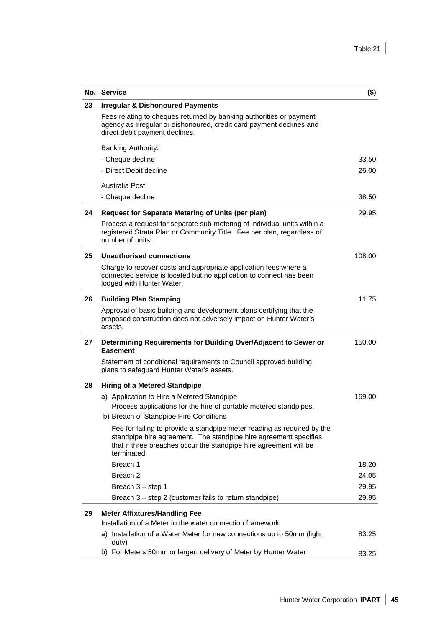|    | No. Service                                                                                                                                                                                                                     | $($ \$) |
|----|---------------------------------------------------------------------------------------------------------------------------------------------------------------------------------------------------------------------------------|---------|
| 23 | <b>Irregular &amp; Dishonoured Payments</b>                                                                                                                                                                                     |         |
|    | Fees relating to cheques returned by banking authorities or payment<br>agency as irregular or dishonoured, credit card payment declines and<br>direct debit payment declines.                                                   |         |
|    | <b>Banking Authority:</b>                                                                                                                                                                                                       |         |
|    | - Cheque decline                                                                                                                                                                                                                | 33.50   |
|    | - Direct Debit decline                                                                                                                                                                                                          | 26.00   |
|    | Australia Post:                                                                                                                                                                                                                 |         |
|    | - Cheque decline                                                                                                                                                                                                                | 38.50   |
| 24 | Request for Separate Metering of Units (per plan)                                                                                                                                                                               | 29.95   |
|    | Process a request for separate sub-metering of individual units within a<br>registered Strata Plan or Community Title. Fee per plan, regardless of<br>number of units.                                                          |         |
| 25 | Unauthorised connections                                                                                                                                                                                                        | 108.00  |
|    | Charge to recover costs and appropriate application fees where a<br>connected service is located but no application to connect has been<br>lodged with Hunter Water.                                                            |         |
| 26 | <b>Building Plan Stamping</b>                                                                                                                                                                                                   | 11.75   |
|    | Approval of basic building and development plans certifying that the<br>proposed construction does not adversely impact on Hunter Water's<br>assets.                                                                            |         |
| 27 | Determining Requirements for Building Over/Adjacent to Sewer or<br><b>Easement</b>                                                                                                                                              | 150.00  |
|    | Statement of conditional requirements to Council approved building<br>plans to safeguard Hunter Water's assets.                                                                                                                 |         |
| 28 | <b>Hiring of a Metered Standpipe</b>                                                                                                                                                                                            |         |
|    | a) Application to Hire a Metered Standpipe<br>Process applications for the hire of portable metered standpipes.<br>b) Breach of Standpipe Hire Conditions                                                                       | 169.00  |
|    | Fee for failing to provide a standpipe meter reading as required by the<br>standpipe hire agreement. The standpipe hire agreement specifies<br>that if three breaches occur the standpipe hire agreement will be<br>terminated. |         |
|    | Breach 1                                                                                                                                                                                                                        | 18.20   |
|    | Breach <sub>2</sub>                                                                                                                                                                                                             | 24.05   |
|    | Breach 3 - step 1                                                                                                                                                                                                               | 29.95   |
|    | Breach 3 – step 2 (customer fails to return standpipe)                                                                                                                                                                          | 29.95   |
| 29 | <b>Meter Affixtures/Handling Fee</b>                                                                                                                                                                                            |         |
|    | Installation of a Meter to the water connection framework.                                                                                                                                                                      |         |
|    | a) Installation of a Water Meter for new connections up to 50mm (light<br>duty)                                                                                                                                                 | 83.25   |
|    | b) For Meters 50mm or larger, delivery of Meter by Hunter Water                                                                                                                                                                 | 83.25   |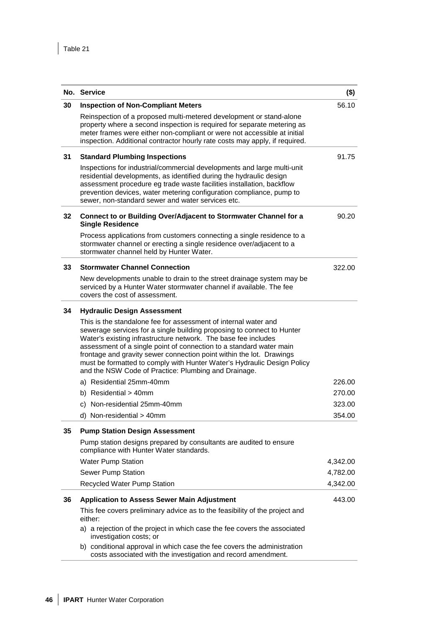|    | No. Service                                                                                                                                                                                                                                                                                                                                                                                                                                                                                   | $($ \$)  |
|----|-----------------------------------------------------------------------------------------------------------------------------------------------------------------------------------------------------------------------------------------------------------------------------------------------------------------------------------------------------------------------------------------------------------------------------------------------------------------------------------------------|----------|
| 30 | <b>Inspection of Non-Compliant Meters</b>                                                                                                                                                                                                                                                                                                                                                                                                                                                     | 56.10    |
|    | Reinspection of a proposed multi-metered development or stand-alone<br>property where a second inspection is required for separate metering as<br>meter frames were either non-compliant or were not accessible at initial<br>inspection. Additional contractor hourly rate costs may apply, if required.                                                                                                                                                                                     |          |
| 31 | <b>Standard Plumbing Inspections</b>                                                                                                                                                                                                                                                                                                                                                                                                                                                          | 91.75    |
|    | Inspections for industrial/commercial developments and large multi-unit<br>residential developments, as identified during the hydraulic design<br>assessment procedure eg trade waste facilities installation, backflow<br>prevention devices, water metering configuration compliance, pump to<br>sewer, non-standard sewer and water services etc.                                                                                                                                          |          |
| 32 | Connect to or Building Over/Adjacent to Stormwater Channel for a<br><b>Single Residence</b>                                                                                                                                                                                                                                                                                                                                                                                                   | 90.20    |
|    | Process applications from customers connecting a single residence to a<br>stormwater channel or erecting a single residence over/adjacent to a<br>stormwater channel held by Hunter Water.                                                                                                                                                                                                                                                                                                    |          |
| 33 | <b>Stormwater Channel Connection</b>                                                                                                                                                                                                                                                                                                                                                                                                                                                          | 322.00   |
|    | New developments unable to drain to the street drainage system may be<br>serviced by a Hunter Water stormwater channel if available. The fee<br>covers the cost of assessment.                                                                                                                                                                                                                                                                                                                |          |
| 34 | <b>Hydraulic Design Assessment</b>                                                                                                                                                                                                                                                                                                                                                                                                                                                            |          |
|    | This is the standalone fee for assessment of internal water and<br>sewerage services for a single building proposing to connect to Hunter<br>Water's existing infrastructure network. The base fee includes<br>assessment of a single point of connection to a standard water main<br>frontage and gravity sewer connection point within the lot. Drawings<br>must be formatted to comply with Hunter Water's Hydraulic Design Policy<br>and the NSW Code of Practice: Plumbing and Drainage. |          |
|    | a) Residential 25mm-40mm                                                                                                                                                                                                                                                                                                                                                                                                                                                                      | 226.00   |
|    | b) Residential > 40mm                                                                                                                                                                                                                                                                                                                                                                                                                                                                         | 270.00   |
|    | c) Non-residential 25mm-40mm                                                                                                                                                                                                                                                                                                                                                                                                                                                                  | 323.00   |
|    | d) Non-residential > 40mm                                                                                                                                                                                                                                                                                                                                                                                                                                                                     | 354.00   |
| 35 | <b>Pump Station Design Assessment</b>                                                                                                                                                                                                                                                                                                                                                                                                                                                         |          |
|    | Pump station designs prepared by consultants are audited to ensure<br>compliance with Hunter Water standards.                                                                                                                                                                                                                                                                                                                                                                                 |          |
|    | <b>Water Pump Station</b>                                                                                                                                                                                                                                                                                                                                                                                                                                                                     | 4,342.00 |
|    | Sewer Pump Station                                                                                                                                                                                                                                                                                                                                                                                                                                                                            | 4,782.00 |
|    | Recycled Water Pump Station                                                                                                                                                                                                                                                                                                                                                                                                                                                                   | 4,342.00 |
| 36 | <b>Application to Assess Sewer Main Adjustment</b>                                                                                                                                                                                                                                                                                                                                                                                                                                            | 443.00   |
|    | This fee covers preliminary advice as to the feasibility of the project and<br>either:                                                                                                                                                                                                                                                                                                                                                                                                        |          |
|    | a) a rejection of the project in which case the fee covers the associated<br>investigation costs; or                                                                                                                                                                                                                                                                                                                                                                                          |          |
|    | b) conditional approval in which case the fee covers the administration<br>costs associated with the investigation and record amendment.                                                                                                                                                                                                                                                                                                                                                      |          |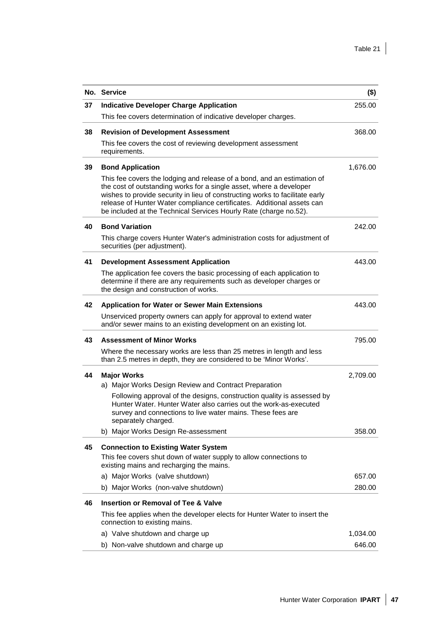|    | No. Service                                                                                                                                                                                                                                                                                                                                                                   | $($ \$)  |
|----|-------------------------------------------------------------------------------------------------------------------------------------------------------------------------------------------------------------------------------------------------------------------------------------------------------------------------------------------------------------------------------|----------|
| 37 | <b>Indicative Developer Charge Application</b>                                                                                                                                                                                                                                                                                                                                | 255.00   |
|    | This fee covers determination of indicative developer charges.                                                                                                                                                                                                                                                                                                                |          |
| 38 | <b>Revision of Development Assessment</b>                                                                                                                                                                                                                                                                                                                                     | 368.00   |
|    | This fee covers the cost of reviewing development assessment<br>requirements.                                                                                                                                                                                                                                                                                                 |          |
| 39 | <b>Bond Application</b>                                                                                                                                                                                                                                                                                                                                                       | 1,676.00 |
|    | This fee covers the lodging and release of a bond, and an estimation of<br>the cost of outstanding works for a single asset, where a developer<br>wishes to provide security in lieu of constructing works to facilitate early<br>release of Hunter Water compliance certificates. Additional assets can<br>be included at the Technical Services Hourly Rate (charge no.52). |          |
| 40 | <b>Bond Variation</b>                                                                                                                                                                                                                                                                                                                                                         | 242.00   |
|    | This charge covers Hunter Water's administration costs for adjustment of<br>securities (per adjustment).                                                                                                                                                                                                                                                                      |          |
| 41 | <b>Development Assessment Application</b>                                                                                                                                                                                                                                                                                                                                     | 443.00   |
|    | The application fee covers the basic processing of each application to<br>determine if there are any requirements such as developer charges or<br>the design and construction of works.                                                                                                                                                                                       |          |
| 42 | <b>Application for Water or Sewer Main Extensions</b>                                                                                                                                                                                                                                                                                                                         | 443.00   |
|    | Unserviced property owners can apply for approval to extend water<br>and/or sewer mains to an existing development on an existing lot.                                                                                                                                                                                                                                        |          |
| 43 | <b>Assessment of Minor Works</b>                                                                                                                                                                                                                                                                                                                                              | 795.00   |
|    | Where the necessary works are less than 25 metres in length and less<br>than 2.5 metres in depth, they are considered to be 'Minor Works'.                                                                                                                                                                                                                                    |          |
| 44 | <b>Major Works</b>                                                                                                                                                                                                                                                                                                                                                            | 2,709.00 |
|    | a) Major Works Design Review and Contract Preparation                                                                                                                                                                                                                                                                                                                         |          |
|    | Following approval of the designs, construction quality is assessed by<br>Hunter Water, Hunter Water also carries out the work-as-executed<br>survey and connections to live water mains. These fees are<br>separately charged.                                                                                                                                               |          |
|    | b) Major Works Design Re-assessment                                                                                                                                                                                                                                                                                                                                           | 358.00   |
| 45 | <b>Connection to Existing Water System</b>                                                                                                                                                                                                                                                                                                                                    |          |
|    | This fee covers shut down of water supply to allow connections to<br>existing mains and recharging the mains.                                                                                                                                                                                                                                                                 |          |
|    | a) Major Works (valve shutdown)                                                                                                                                                                                                                                                                                                                                               | 657.00   |
|    | b) Major Works (non-valve shutdown)                                                                                                                                                                                                                                                                                                                                           | 280.00   |
| 46 | <b>Insertion or Removal of Tee &amp; Valve</b>                                                                                                                                                                                                                                                                                                                                |          |
|    | This fee applies when the developer elects for Hunter Water to insert the<br>connection to existing mains.                                                                                                                                                                                                                                                                    |          |
|    | a) Valve shutdown and charge up                                                                                                                                                                                                                                                                                                                                               | 1,034.00 |
|    | b) Non-valve shutdown and charge up                                                                                                                                                                                                                                                                                                                                           | 646.00   |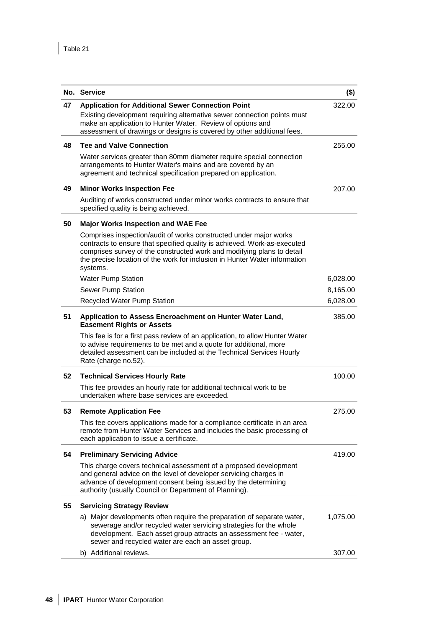|    | No. Service                                                                                                                                                                                                                                                                                                       | $($ \$)  |
|----|-------------------------------------------------------------------------------------------------------------------------------------------------------------------------------------------------------------------------------------------------------------------------------------------------------------------|----------|
| 47 | <b>Application for Additional Sewer Connection Point</b>                                                                                                                                                                                                                                                          | 322.00   |
|    | Existing development requiring alternative sewer connection points must<br>make an application to Hunter Water. Review of options and<br>assessment of drawings or designs is covered by other additional fees.                                                                                                   |          |
| 48 | <b>Tee and Valve Connection</b>                                                                                                                                                                                                                                                                                   | 255.00   |
|    | Water services greater than 80mm diameter require special connection<br>arrangements to Hunter Water's mains and are covered by an<br>agreement and technical specification prepared on application.                                                                                                              |          |
| 49 | <b>Minor Works Inspection Fee</b>                                                                                                                                                                                                                                                                                 | 207.00   |
|    | Auditing of works constructed under minor works contracts to ensure that<br>specified quality is being achieved.                                                                                                                                                                                                  |          |
| 50 | <b>Major Works Inspection and WAE Fee</b>                                                                                                                                                                                                                                                                         |          |
|    | Comprises inspection/audit of works constructed under major works<br>contracts to ensure that specified quality is achieved. Work-as-executed<br>comprises survey of the constructed work and modifying plans to detail<br>the precise location of the work for inclusion in Hunter Water information<br>systems. |          |
|    | <b>Water Pump Station</b>                                                                                                                                                                                                                                                                                         | 6,028.00 |
|    | Sewer Pump Station                                                                                                                                                                                                                                                                                                | 8,165.00 |
|    | Recycled Water Pump Station                                                                                                                                                                                                                                                                                       | 6,028.00 |
| 51 | Application to Assess Encroachment on Hunter Water Land,<br><b>Easement Rights or Assets</b>                                                                                                                                                                                                                      | 385.00   |
|    | This fee is for a first pass review of an application, to allow Hunter Water<br>to advise requirements to be met and a quote for additional, more<br>detailed assessment can be included at the Technical Services Hourly<br>Rate (charge no.52).                                                                 |          |
| 52 | <b>Technical Services Hourly Rate</b>                                                                                                                                                                                                                                                                             | 100.00   |
|    | This fee provides an hourly rate for additional technical work to be<br>undertaken where base services are exceeded.                                                                                                                                                                                              |          |
| 53 | <b>Remote Application Fee</b>                                                                                                                                                                                                                                                                                     | 275.00   |
|    | This fee covers applications made for a compliance certificate in an area<br>remote from Hunter Water Services and includes the basic processing of<br>each application to issue a certificate.                                                                                                                   |          |
| 54 | <b>Preliminary Servicing Advice</b>                                                                                                                                                                                                                                                                               | 419.00   |
|    | This charge covers technical assessment of a proposed development<br>and general advice on the level of developer servicing charges in<br>advance of development consent being issued by the determining<br>authority (usually Council or Department of Planning).                                                |          |
| 55 | <b>Servicing Strategy Review</b>                                                                                                                                                                                                                                                                                  |          |
|    | a) Major developments often require the preparation of separate water,<br>sewerage and/or recycled water servicing strategies for the whole<br>development. Each asset group attracts an assessment fee - water,<br>sewer and recycled water are each an asset group.                                             | 1,075.00 |
|    | b) Additional reviews.                                                                                                                                                                                                                                                                                            | 307.00   |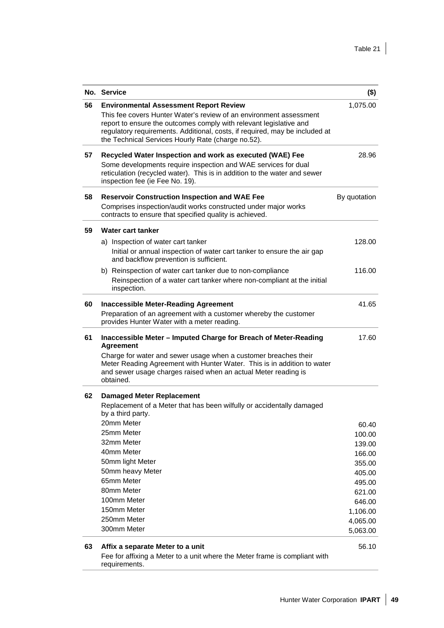|    | No. Service                                                                                                                                                                                                                                                                   | $($ \$)            |
|----|-------------------------------------------------------------------------------------------------------------------------------------------------------------------------------------------------------------------------------------------------------------------------------|--------------------|
| 56 | <b>Environmental Assessment Report Review</b>                                                                                                                                                                                                                                 | 1,075.00           |
|    | This fee covers Hunter Water's review of an environment assessment<br>report to ensure the outcomes comply with relevant legislative and<br>regulatory requirements. Additional, costs, if required, may be included at<br>the Technical Services Hourly Rate (charge no.52). |                    |
| 57 | Recycled Water Inspection and work as executed (WAE) Fee                                                                                                                                                                                                                      | 28.96              |
|    | Some developments require inspection and WAE services for dual<br>reticulation (recycled water). This is in addition to the water and sewer<br>inspection fee (ie Fee No. 19).                                                                                                |                    |
| 58 | <b>Reservoir Construction Inspection and WAE Fee</b><br>Comprises inspection/audit works constructed under major works<br>contracts to ensure that specified quality is achieved.                                                                                             | By quotation       |
| 59 | Water cart tanker                                                                                                                                                                                                                                                             |                    |
|    | a) Inspection of water cart tanker                                                                                                                                                                                                                                            | 128.00             |
|    | Initial or annual inspection of water cart tanker to ensure the air gap<br>and backflow prevention is sufficient.                                                                                                                                                             |                    |
|    | b) Reinspection of water cart tanker due to non-compliance                                                                                                                                                                                                                    | 116.00             |
|    | Reinspection of a water cart tanker where non-compliant at the initial<br>inspection.                                                                                                                                                                                         |                    |
| 60 | <b>Inaccessible Meter-Reading Agreement</b>                                                                                                                                                                                                                                   | 41.65              |
|    | Preparation of an agreement with a customer whereby the customer<br>provides Hunter Water with a meter reading.                                                                                                                                                               |                    |
| 61 | Inaccessible Meter - Imputed Charge for Breach of Meter-Reading<br><b>Agreement</b>                                                                                                                                                                                           | 17.60              |
|    | Charge for water and sewer usage when a customer breaches their<br>Meter Reading Agreement with Hunter Water. This is in addition to water<br>and sewer usage charges raised when an actual Meter reading is<br>obtained.                                                     |                    |
| 62 | <b>Damaged Meter Replacement</b>                                                                                                                                                                                                                                              |                    |
|    | Replacement of a Meter that has been wilfully or accidentally damaged<br>by a third party.                                                                                                                                                                                    |                    |
|    | 20mm Meter                                                                                                                                                                                                                                                                    | 60.40              |
|    | 25mm Meter                                                                                                                                                                                                                                                                    | 100.00             |
|    | 32mm Meter                                                                                                                                                                                                                                                                    | 139.00             |
|    | 40mm Meter                                                                                                                                                                                                                                                                    | 166.00             |
|    | 50mm light Meter                                                                                                                                                                                                                                                              | 355.00             |
|    | 50mm heavy Meter<br>65mm Meter                                                                                                                                                                                                                                                | 405.00             |
|    | 80mm Meter                                                                                                                                                                                                                                                                    | 495.00             |
|    | 100mm Meter                                                                                                                                                                                                                                                                   | 621.00             |
|    | 150mm Meter                                                                                                                                                                                                                                                                   | 646.00<br>1,106.00 |
|    | 250mm Meter                                                                                                                                                                                                                                                                   | 4,065.00           |
|    | 300mm Meter                                                                                                                                                                                                                                                                   | 5,063.00           |
| 63 |                                                                                                                                                                                                                                                                               | 56.10              |
|    | Affix a separate Meter to a unit<br>Fee for affixing a Meter to a unit where the Meter frame is compliant with                                                                                                                                                                |                    |

requirements.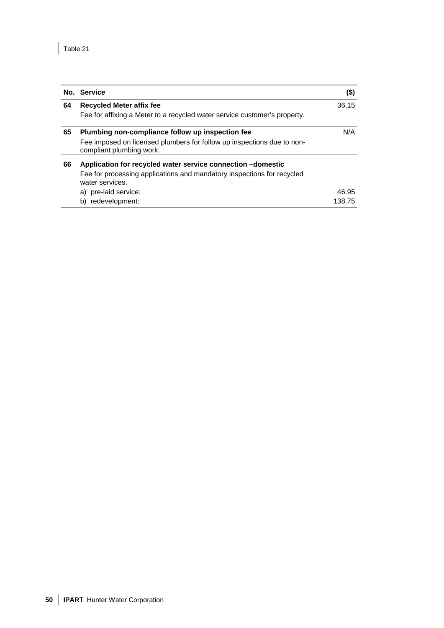|    | No. Service                                                                                        | $($)$  |
|----|----------------------------------------------------------------------------------------------------|--------|
| 64 | Recycled Meter affix fee                                                                           | 36.15  |
|    | Fee for affixing a Meter to a recycled water service customer's property.                          |        |
| 65 | Plumbing non-compliance follow up inspection fee                                                   | N/A    |
|    | Fee imposed on licensed plumbers for follow up inspections due to non-<br>compliant plumbing work. |        |
| 66 | Application for recycled water service connection -domestic                                        |        |
|    | Fee for processing applications and mandatory inspections for recycled<br>water services.          |        |
|    | a) pre-laid service:                                                                               | 46.95  |
|    | b) redevelopment:                                                                                  | 138.75 |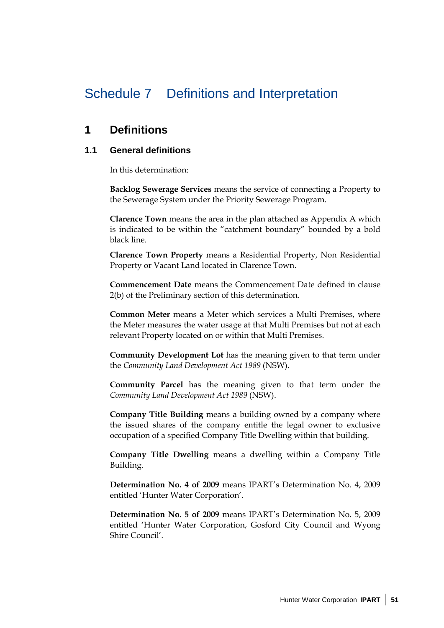## Schedule 7 Definitions and Interpretation

### **1 Definitions**

### **1.1 General definitions**

In this determination:

**Backlog Sewerage Services** means the service of connecting a Property to the Sewerage System under the Priority Sewerage Program.

**Clarence Town** means the area in the plan attached as Appendix A which is indicated to be within the "catchment boundary" bounded by a bold black line.

**Clarence Town Property** means a Residential Property, Non Residential Property or Vacant Land located in Clarence Town.

**Commencement Date** means the Commencement Date defined in clause 2(b) of the Preliminary section of this determination.

**Common Meter** means a Meter which services a Multi Premises, where the Meter measures the water usage at that Multi Premises but not at each relevant Property located on or within that Multi Premises.

**Community Development Lot** has the meaning given to that term under the *Community Land Development Act 1989* (NSW).

**Community Parcel** has the meaning given to that term under the *Community Land Development Act 1989* (NSW).

**Company Title Building** means a building owned by a company where the issued shares of the company entitle the legal owner to exclusive occupation of a specified Company Title Dwelling within that building.

**Company Title Dwelling** means a dwelling within a Company Title Building.

**Determination No. 4 of 2009** means IPART's Determination No. 4, 2009 entitled 'Hunter Water Corporation'.

**Determination No. 5 of 2009** means IPART's Determination No. 5, 2009 entitled 'Hunter Water Corporation, Gosford City Council and Wyong Shire Council'.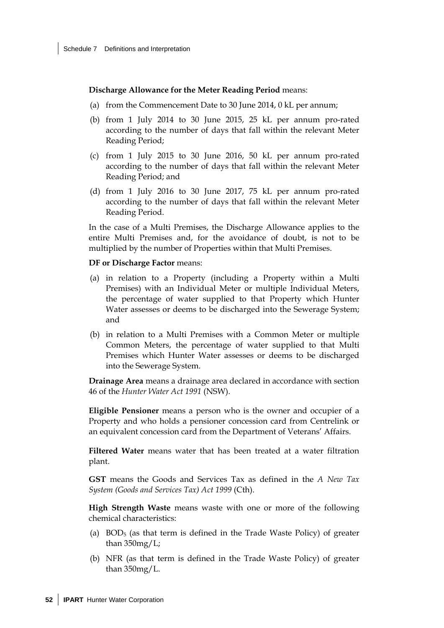**Discharge Allowance for the Meter Reading Period** means:

- (a) from the Commencement Date to 30 June 2014, 0 kL per annum;
- (b) from 1 July 2014 to 30 June 2015, 25 kL per annum pro-rated according to the number of days that fall within the relevant Meter Reading Period;
- (c) from 1 July 2015 to 30 June 2016, 50 kL per annum pro-rated according to the number of days that fall within the relevant Meter Reading Period; and
- (d) from 1 July 2016 to 30 June 2017, 75 kL per annum pro-rated according to the number of days that fall within the relevant Meter Reading Period.

In the case of a Multi Premises, the Discharge Allowance applies to the entire Multi Premises and, for the avoidance of doubt, is not to be multiplied by the number of Properties within that Multi Premises.

#### **DF or Discharge Factor** means:

- (a) in relation to a Property (including a Property within a Multi Premises) with an Individual Meter or multiple Individual Meters, the percentage of water supplied to that Property which Hunter Water assesses or deems to be discharged into the Sewerage System; and
- (b) in relation to a Multi Premises with a Common Meter or multiple Common Meters, the percentage of water supplied to that Multi Premises which Hunter Water assesses or deems to be discharged into the Sewerage System.

**Drainage Area** means a drainage area declared in accordance with section 46 of the *Hunter Water Act 1991* (NSW).

**Eligible Pensioner** means a person who is the owner and occupier of a Property and who holds a pensioner concession card from Centrelink or an equivalent concession card from the Department of Veterans' Affairs.

**Filtered Water** means water that has been treated at a water filtration plant.

**GST** means the Goods and Services Tax as defined in the *A New Tax System (Goods and Services Tax) Act 1999* (Cth).

**High Strength Waste** means waste with one or more of the following chemical characteristics:

- (a) BOD5 (as that term is defined in the Trade Waste Policy) of greater than  $350$ mg/L;
- (b) NFR (as that term is defined in the Trade Waste Policy) of greater than  $350$ mg/L.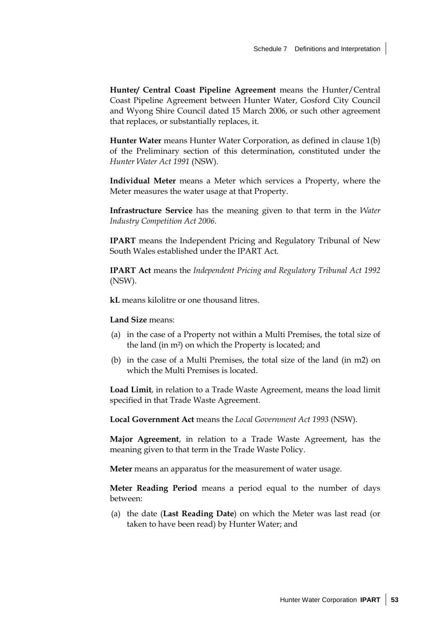**Hunter/ Central Coast Pipeline Agreement** means the Hunter/Central Coast Pipeline Agreement between Hunter Water, Gosford City Council and Wyong Shire Council dated 15 March 2006, or such other agreement that replaces, or substantially replaces, it.

**Hunter Water** means Hunter Water Corporation, as defined in clause 1(b) of the Preliminary section of this determination, constituted under the *Hunter Water Act 1991* (NSW).

**Individual Meter** means a Meter which services a Property, where the Meter measures the water usage at that Property.

**Infrastructure Service** has the meaning given to that term in the *Water Industry Competition Act 2006.*

**IPART** means the Independent Pricing and Regulatory Tribunal of New South Wales established under the IPART Act.

**IPART Act** means the *Independent Pricing and Regulatory Tribunal Act 1992* (NSW).

**kL** means kilolitre or one thousand litres.

**Land Size** means:

- (a) in the case of a Property not within a Multi Premises, the total size of the land (in m²) on which the Property is located; and
- (b) in the case of a Multi Premises, the total size of the land (in m2) on which the Multi Premises is located.

**Load Limit**, in relation to a Trade Waste Agreement, means the load limit specified in that Trade Waste Agreement.

**Local Government Act** means the *Local Government Act 1993* (NSW).

**Major Agreement**, in relation to a Trade Waste Agreement, has the meaning given to that term in the Trade Waste Policy.

**Meter** means an apparatus for the measurement of water usage.

**Meter Reading Period** means a period equal to the number of days between:

(a) the date (**Last Reading Date**) on which the Meter was last read (or taken to have been read) by Hunter Water; and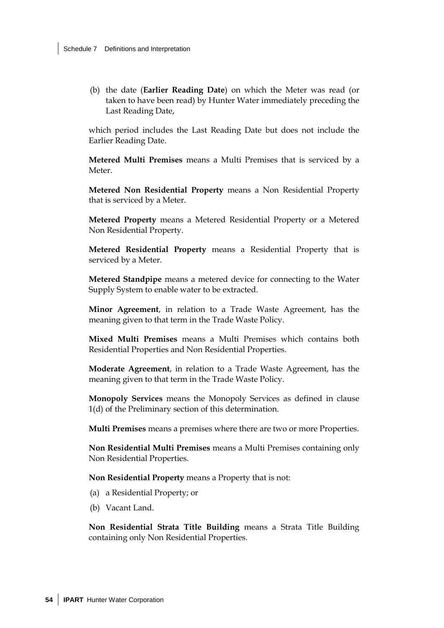(b) the date (**Earlier Reading Date**) on which the Meter was read (or taken to have been read) by Hunter Water immediately preceding the Last Reading Date,

which period includes the Last Reading Date but does not include the Earlier Reading Date.

**Metered Multi Premises** means a Multi Premises that is serviced by a Meter.

**Metered Non Residential Property** means a Non Residential Property that is serviced by a Meter.

**Metered Property** means a Metered Residential Property or a Metered Non Residential Property.

**Metered Residential Property** means a Residential Property that is serviced by a Meter.

**Metered Standpipe** means a metered device for connecting to the Water Supply System to enable water to be extracted.

**Minor Agreement**, in relation to a Trade Waste Agreement, has the meaning given to that term in the Trade Waste Policy.

**Mixed Multi Premises** means a Multi Premises which contains both Residential Properties and Non Residential Properties.

**Moderate Agreement**, in relation to a Trade Waste Agreement, has the meaning given to that term in the Trade Waste Policy.

**Monopoly Services** means the Monopoly Services as defined in clause 1(d) of the Preliminary section of this determination.

**Multi Premises** means a premises where there are two or more Properties.

**Non Residential Multi Premises** means a Multi Premises containing only Non Residential Properties.

**Non Residential Property** means a Property that is not:

- (a) a Residential Property; or
- (b) Vacant Land.

**Non Residential Strata Title Building** means a Strata Title Building containing only Non Residential Properties.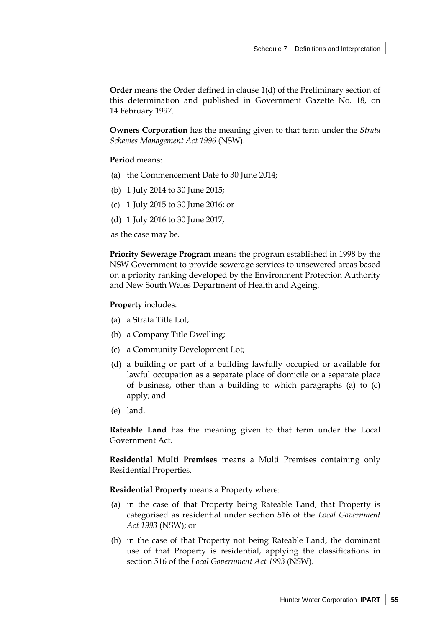**Order** means the Order defined in clause 1(d) of the Preliminary section of this determination and published in Government Gazette No. 18, on 14 February 1997.

**Owners Corporation** has the meaning given to that term under the *Strata Schemes Management Act 1996* (NSW).

#### **Period** means:

- (a) the Commencement Date to 30 June 2014;
- (b) 1 July 2014 to 30 June 2015;
- (c) 1 July 2015 to 30 June 2016; or
- (d) 1 July 2016 to 30 June 2017,

as the case may be.

**Priority Sewerage Program** means the program established in 1998 by the NSW Government to provide sewerage services to unsewered areas based on a priority ranking developed by the Environment Protection Authority and New South Wales Department of Health and Ageing.

#### **Property** includes:

- (a) a Strata Title Lot;
- (b) a Company Title Dwelling;
- (c) a Community Development Lot;
- (d) a building or part of a building lawfully occupied or available for lawful occupation as a separate place of domicile or a separate place of business, other than a building to which paragraphs (a) to (c) apply; and
- (e) land.

**Rateable Land** has the meaning given to that term under the Local Government Act.

**Residential Multi Premises** means a Multi Premises containing only Residential Properties.

**Residential Property** means a Property where:

- (a) in the case of that Property being Rateable Land, that Property is categorised as residential under section 516 of the *Local Government Act 1993* (NSW); or
- (b) in the case of that Property not being Rateable Land, the dominant use of that Property is residential, applying the classifications in section 516 of the *Local Government Act 1993* (NSW).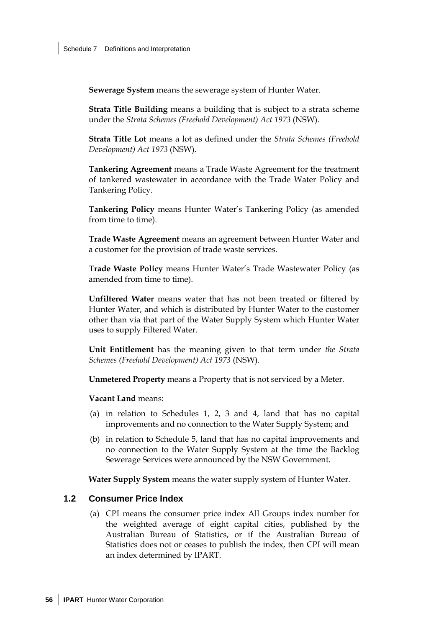**Sewerage System** means the sewerage system of Hunter Water.

**Strata Title Building** means a building that is subject to a strata scheme under the *Strata Schemes (Freehold Development) Act 1973* (NSW).

**Strata Title Lot** means a lot as defined under the *Strata Schemes (Freehold Development) Act 1973* (NSW).

**Tankering Agreement** means a Trade Waste Agreement for the treatment of tankered wastewater in accordance with the Trade Water Policy and Tankering Policy.

**Tankering Policy** means Hunter Water's Tankering Policy (as amended from time to time).

**Trade Waste Agreement** means an agreement between Hunter Water and a customer for the provision of trade waste services.

**Trade Waste Policy** means Hunter Water's Trade Wastewater Policy (as amended from time to time).

**Unfiltered Water** means water that has not been treated or filtered by Hunter Water, and which is distributed by Hunter Water to the customer other than via that part of the Water Supply System which Hunter Water uses to supply Filtered Water.

**Unit Entitlement** has the meaning given to that term under *the Strata Schemes (Freehold Development) Act 1973* (NSW).

**Unmetered Property** means a Property that is not serviced by a Meter.

#### **Vacant Land** means:

- (a) in relation to Schedules 1, 2, 3 and 4, land that has no capital improvements and no connection to the Water Supply System; and
- (b) in relation to Schedule 5, land that has no capital improvements and no connection to the Water Supply System at the time the Backlog Sewerage Services were announced by the NSW Government.

**Water Supply System** means the water supply system of Hunter Water.

#### **1.2 Consumer Price Index**

(a) CPI means the consumer price index All Groups index number for the weighted average of eight capital cities, published by the Australian Bureau of Statistics, or if the Australian Bureau of Statistics does not or ceases to publish the index, then CPI will mean an index determined by IPART.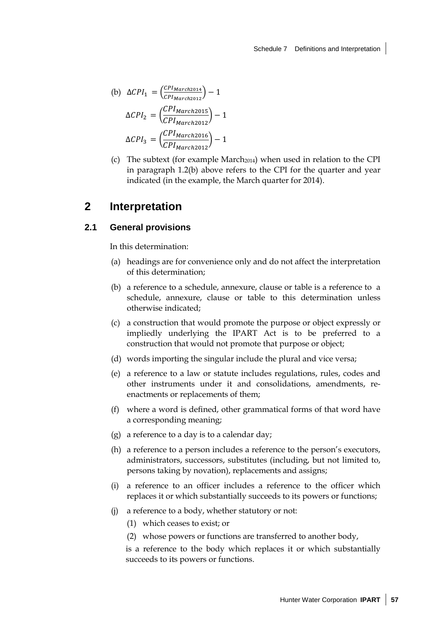(b) 
$$
\Delta CPI_1 = \left(\frac{CPI_{March2014}}{CPI_{March2012}}\right) - 1
$$

$$
\Delta CPI_2 = \left(\frac{CPI_{March2015}}{CPI_{March2012}}\right) - 1
$$

$$
\Delta CPI_3 = \left(\frac{CPI_{March2016}}{CPI_{March2012}}\right) - 1
$$

(c) The subtext (for example March2014) when used in relation to the CPI in paragraph 1.2(b) above refers to the CPI for the quarter and year indicated (in the example, the March quarter for 2014).

### **2 Interpretation**

### **2.1 General provisions**

In this determination:

- (a) headings are for convenience only and do not affect the interpretation of this determination;
- (b) a reference to a schedule, annexure, clause or table is a reference to a schedule, annexure, clause or table to this determination unless otherwise indicated;
- (c) a construction that would promote the purpose or object expressly or impliedly underlying the IPART Act is to be preferred to a construction that would not promote that purpose or object;
- (d) words importing the singular include the plural and vice versa;
- (e) a reference to a law or statute includes regulations, rules, codes and other instruments under it and consolidations, amendments, reenactments or replacements of them;
- (f) where a word is defined, other grammatical forms of that word have a corresponding meaning;
- (g) a reference to a day is to a calendar day;
- (h) a reference to a person includes a reference to the person's executors, administrators, successors, substitutes (including, but not limited to, persons taking by novation), replacements and assigns;
- (i) a reference to an officer includes a reference to the officer which replaces it or which substantially succeeds to its powers or functions;
- (j) a reference to a body, whether statutory or not:
	- (1) which ceases to exist; or
	- (2) whose powers or functions are transferred to another body,

is a reference to the body which replaces it or which substantially succeeds to its powers or functions.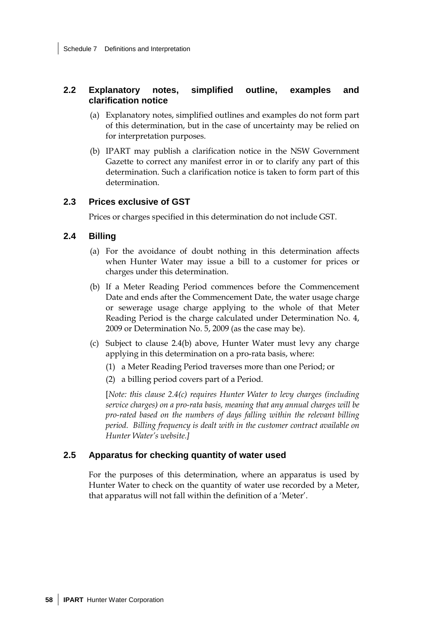### **2.2 Explanatory notes, simplified outline, examples and clarification notice**

- (a) Explanatory notes, simplified outlines and examples do not form part of this determination, but in the case of uncertainty may be relied on for interpretation purposes.
- (b) IPART may publish a clarification notice in the NSW Government Gazette to correct any manifest error in or to clarify any part of this determination. Such a clarification notice is taken to form part of this determination.

### **2.3 Prices exclusive of GST**

Prices or charges specified in this determination do not include GST.

### **2.4 Billing**

- (a) For the avoidance of doubt nothing in this determination affects when Hunter Water may issue a bill to a customer for prices or charges under this determination.
- (b) If a Meter Reading Period commences before the Commencement Date and ends after the Commencement Date, the water usage charge or sewerage usage charge applying to the whole of that Meter Reading Period is the charge calculated under Determination No. 4, 2009 or Determination No. 5, 2009 (as the case may be).
- (c) Subject to clause 2.4(b) above, Hunter Water must levy any charge applying in this determination on a pro-rata basis, where:
	- (1) a Meter Reading Period traverses more than one Period; or
	- (2) a billing period covers part of a Period.

[*Note: this clause 2.4(c) requires Hunter Water to levy charges (including service charges) on a pro-rata basis, meaning that any annual charges will be pro-rated based on the numbers of days falling within the relevant billing period. Billing frequency is dealt with in the customer contract available on Hunter Water's website.]*

### **2.5 Apparatus for checking quantity of water used**

For the purposes of this determination, where an apparatus is used by Hunter Water to check on the quantity of water use recorded by a Meter, that apparatus will not fall within the definition of a 'Meter'.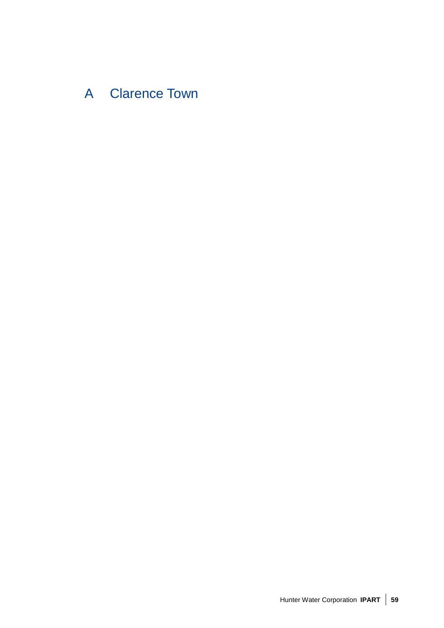# A Clarence Town